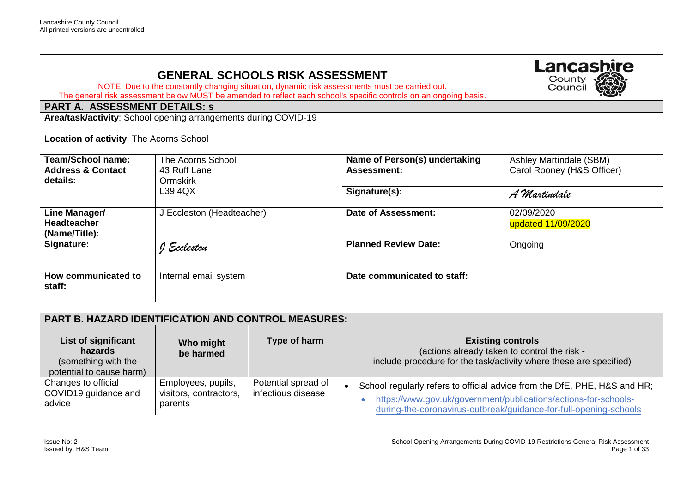## **GENERAL SCHOOLS RISK ASSESSMENT**

NOTE: Due to the constantly changing situation, dynamic risk assessments must be carried out. The general risk assessment below MUST be amended to reflect each school's specific controls on an ongoing basis.

## **PART A. ASSESSMENT DETAILS: s**

**Area/task/activity**: School opening arrangements during COVID-19

**Location of activity**: The Acorns School

| <b>Team/School name:</b><br><b>Address &amp; Contact</b><br>details: | The Acorns School<br>43 Ruff Lane<br>Ormskirk | Name of Person(s) undertaking<br><b>Assessment:</b> | Ashley Martindale (SBM)<br>Carol Rooney (H&S Officer) |
|----------------------------------------------------------------------|-----------------------------------------------|-----------------------------------------------------|-------------------------------------------------------|
|                                                                      | L39 4QX                                       | Signature(s):                                       | A Martindale                                          |
| Line Manager/<br><b>Headteacher</b><br>(Name/Title):                 | J Eccleston (Headteacher)                     | Date of Assessment:                                 | 02/09/2020<br>updated 11/09/2020                      |
| Signature:                                                           | I Eccleston                                   | <b>Planned Review Date:</b>                         | Ongoing                                               |
| How communicated to<br>staff:                                        | Internal email system                         | Date communicated to staff:                         |                                                       |

|                                                                                   | <b>PART B. HAZARD IDENTIFICATION AND CONTROL MEASURES:</b> |                                           |                                                                                                                                                                                                                   |  |
|-----------------------------------------------------------------------------------|------------------------------------------------------------|-------------------------------------------|-------------------------------------------------------------------------------------------------------------------------------------------------------------------------------------------------------------------|--|
| List of significant<br>hazards<br>(something with the<br>potential to cause harm) | Who might<br>be harmed                                     | Type of harm                              | <b>Existing controls</b><br>(actions already taken to control the risk -<br>include procedure for the task/activity where these are specified)                                                                    |  |
| Changes to official<br>COVID19 guidance and<br>advice                             | Employees, pupils,<br>visitors, contractors,<br>parents    | Potential spread of<br>infectious disease | School regularly refers to official advice from the DfE, PHE, H&S and HR;<br>https://www.gov.uk/government/publications/actions-for-schools-<br>during-the-coronavirus-outbreak/guidance-for-full-opening-schools |  |

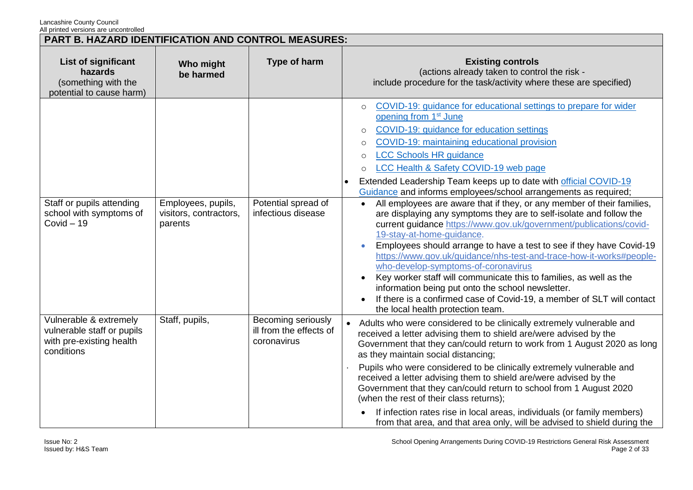|                                                                                                | PART B. HAZARD IDENTIFICATION AND CONTROL MEASURES:     |                                                              |                                                                                                                                                                                                                                                                                                                                                                                                                                                                                                                                                                                                                                                                                                                                                                                                                                                                                                                                                                                                                                                                                                                                                                             |  |
|------------------------------------------------------------------------------------------------|---------------------------------------------------------|--------------------------------------------------------------|-----------------------------------------------------------------------------------------------------------------------------------------------------------------------------------------------------------------------------------------------------------------------------------------------------------------------------------------------------------------------------------------------------------------------------------------------------------------------------------------------------------------------------------------------------------------------------------------------------------------------------------------------------------------------------------------------------------------------------------------------------------------------------------------------------------------------------------------------------------------------------------------------------------------------------------------------------------------------------------------------------------------------------------------------------------------------------------------------------------------------------------------------------------------------------|--|
| List of significant<br>hazards<br>(something with the<br>potential to cause harm)              | Who might<br>be harmed                                  | Type of harm                                                 | <b>Existing controls</b><br>(actions already taken to control the risk -<br>include procedure for the task/activity where these are specified)                                                                                                                                                                                                                                                                                                                                                                                                                                                                                                                                                                                                                                                                                                                                                                                                                                                                                                                                                                                                                              |  |
| Staff or pupils attending<br>school with symptoms of<br>$Covid - 19$                           | Employees, pupils,<br>visitors, contractors,<br>parents | Potential spread of<br>infectious disease                    | COVID-19: guidance for educational settings to prepare for wider<br>$\circ$<br>opening from 1 <sup>st</sup> June<br>COVID-19: guidance for education settings<br>$\circ$<br>COVID-19: maintaining educational provision<br>$\circ$<br><b>LCC Schools HR guidance</b><br>$\circ$<br>LCC Health & Safety COVID-19 web page<br>$\circ$<br>Extended Leadership Team keeps up to date with official COVID-19<br>Guidance and informs employees/school arrangements as required;<br>All employees are aware that if they, or any member of their families,<br>are displaying any symptoms they are to self-isolate and follow the<br>current guidance https://www.gov.uk/government/publications/covid-<br>19-stay-at-home-guidance.<br>Employees should arrange to have a test to see if they have Covid-19<br>https://www.gov.uk/guidance/nhs-test-and-trace-how-it-works#people-<br>who-develop-symptoms-of-coronavirus<br>Key worker staff will communicate this to families, as well as the<br>$\bullet$<br>information being put onto the school newsletter.<br>If there is a confirmed case of Covid-19, a member of SLT will contact<br>the local health protection team. |  |
| Vulnerable & extremely<br>vulnerable staff or pupils<br>with pre-existing health<br>conditions | Staff, pupils,                                          | Becoming seriously<br>ill from the effects of<br>coronavirus | • Adults who were considered to be clinically extremely vulnerable and<br>received a letter advising them to shield are/were advised by the<br>Government that they can/could return to work from 1 August 2020 as long<br>as they maintain social distancing;<br>Pupils who were considered to be clinically extremely vulnerable and<br>received a letter advising them to shield are/were advised by the<br>Government that they can/could return to school from 1 August 2020<br>(when the rest of their class returns);<br>If infection rates rise in local areas, individuals (or family members)<br>from that area, and that area only, will be advised to shield during the                                                                                                                                                                                                                                                                                                                                                                                                                                                                                         |  |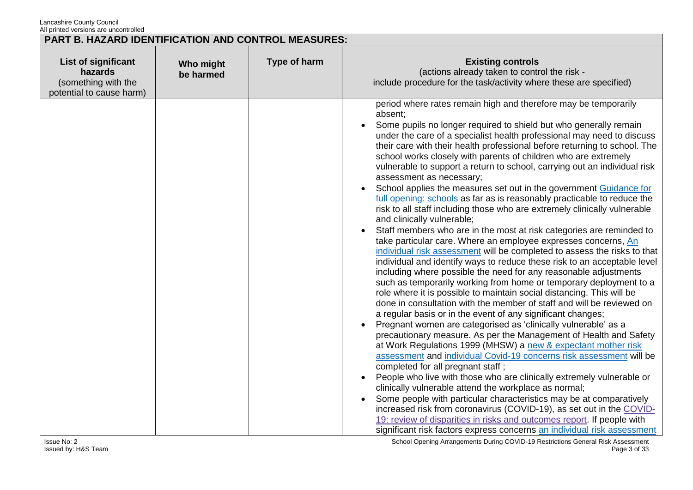| All printed versions are dricontrolled<br>PART B. HAZARD IDENTIFICATION AND CONTROL MEASURES: |                        |              |                                                                                                                                                                                                                                                                                                                                                                                                                                                                                                                                                                                                                                                                                                                                                                                                                                                                                                                                                                                                                                                                                                                                                                                                                                                                                                                                                                                                                                                                                                                                                                                                                                                                                                                                                                                                                                                                                                                                                                                                                                                                                                                                                                       |  |
|-----------------------------------------------------------------------------------------------|------------------------|--------------|-----------------------------------------------------------------------------------------------------------------------------------------------------------------------------------------------------------------------------------------------------------------------------------------------------------------------------------------------------------------------------------------------------------------------------------------------------------------------------------------------------------------------------------------------------------------------------------------------------------------------------------------------------------------------------------------------------------------------------------------------------------------------------------------------------------------------------------------------------------------------------------------------------------------------------------------------------------------------------------------------------------------------------------------------------------------------------------------------------------------------------------------------------------------------------------------------------------------------------------------------------------------------------------------------------------------------------------------------------------------------------------------------------------------------------------------------------------------------------------------------------------------------------------------------------------------------------------------------------------------------------------------------------------------------------------------------------------------------------------------------------------------------------------------------------------------------------------------------------------------------------------------------------------------------------------------------------------------------------------------------------------------------------------------------------------------------------------------------------------------------------------------------------------------------|--|
| List of significant<br>hazards<br>(something with the<br>potential to cause harm)             | Who might<br>be harmed | Type of harm | <b>Existing controls</b><br>(actions already taken to control the risk -<br>include procedure for the task/activity where these are specified)                                                                                                                                                                                                                                                                                                                                                                                                                                                                                                                                                                                                                                                                                                                                                                                                                                                                                                                                                                                                                                                                                                                                                                                                                                                                                                                                                                                                                                                                                                                                                                                                                                                                                                                                                                                                                                                                                                                                                                                                                        |  |
|                                                                                               |                        |              | period where rates remain high and therefore may be temporarily<br>absent:<br>Some pupils no longer required to shield but who generally remain<br>under the care of a specialist health professional may need to discuss<br>their care with their health professional before returning to school. The<br>school works closely with parents of children who are extremely<br>vulnerable to support a return to school, carrying out an individual risk<br>assessment as necessary;<br>School applies the measures set out in the government Guidance for<br>full opening: schools as far as is reasonably practicable to reduce the<br>risk to all staff including those who are extremely clinically vulnerable<br>and clinically vulnerable;<br>Staff members who are in the most at risk categories are reminded to<br>take particular care. Where an employee expresses concerns, An<br>individual risk assessment will be completed to assess the risks to that<br>individual and identify ways to reduce these risk to an acceptable level<br>including where possible the need for any reasonable adjustments<br>such as temporarily working from home or temporary deployment to a<br>role where it is possible to maintain social distancing. This will be<br>done in consultation with the member of staff and will be reviewed on<br>a regular basis or in the event of any significant changes;<br>Pregnant women are categorised as 'clinically vulnerable' as a<br>precautionary measure. As per the Management of Health and Safety<br>at Work Regulations 1999 (MHSW) a new & expectant mother risk<br>assessment and individual Covid-19 concerns risk assessment will be<br>completed for all pregnant staff;<br>People who live with those who are clinically extremely vulnerable or<br>clinically vulnerable attend the workplace as normal;<br>Some people with particular characteristics may be at comparatively<br>increased risk from coronavirus (COVID-19), as set out in the COVID-<br>19: review of disparities in risks and outcomes report. If people with<br>significant risk factors express concerns an individual risk assessment |  |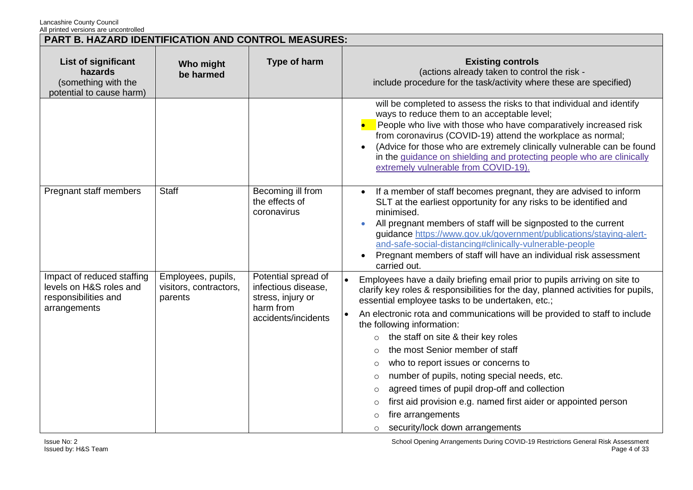| PART B. HAZARD IDENTIFICATION AND CONTROL MEASURES:                                           |                                                         |                                                                                                     |                                                                                                                                                                                                                                                                                                                                                                                                                                                                                                                                                                                                                                                                                                                                                                   |
|-----------------------------------------------------------------------------------------------|---------------------------------------------------------|-----------------------------------------------------------------------------------------------------|-------------------------------------------------------------------------------------------------------------------------------------------------------------------------------------------------------------------------------------------------------------------------------------------------------------------------------------------------------------------------------------------------------------------------------------------------------------------------------------------------------------------------------------------------------------------------------------------------------------------------------------------------------------------------------------------------------------------------------------------------------------------|
| List of significant<br>hazards<br>(something with the<br>potential to cause harm)             | Who might<br>be harmed                                  | Type of harm                                                                                        | <b>Existing controls</b><br>(actions already taken to control the risk -<br>include procedure for the task/activity where these are specified)                                                                                                                                                                                                                                                                                                                                                                                                                                                                                                                                                                                                                    |
|                                                                                               |                                                         |                                                                                                     | will be completed to assess the risks to that individual and identify<br>ways to reduce them to an acceptable level;<br>People who live with those who have comparatively increased risk<br>from coronavirus (COVID-19) attend the workplace as normal;<br>(Advice for those who are extremely clinically vulnerable can be found<br>in the guidance on shielding and protecting people who are clinically<br>extremely vulnerable from COVID-19).                                                                                                                                                                                                                                                                                                                |
| Pregnant staff members                                                                        | <b>Staff</b>                                            | Becoming ill from<br>the effects of<br>coronavirus                                                  | If a member of staff becomes pregnant, they are advised to inform<br>SLT at the earliest opportunity for any risks to be identified and<br>minimised.<br>All pregnant members of staff will be signposted to the current<br>guidance https://www.gov.uk/government/publications/staying-alert-<br>and-safe-social-distancing#clinically-vulnerable-people<br>Pregnant members of staff will have an individual risk assessment<br>carried out.                                                                                                                                                                                                                                                                                                                    |
| Impact of reduced staffing<br>levels on H&S roles and<br>responsibilities and<br>arrangements | Employees, pupils,<br>visitors, contractors,<br>parents | Potential spread of<br>infectious disease,<br>stress, injury or<br>harm from<br>accidents/incidents | Employees have a daily briefing email prior to pupils arriving on site to<br>clarify key roles & responsibilities for the day, planned activities for pupils,<br>essential employee tasks to be undertaken, etc.;<br>An electronic rota and communications will be provided to staff to include<br>the following information:<br>the staff on site & their key roles<br>$\circ$<br>the most Senior member of staff<br>$\circ$<br>who to report issues or concerns to<br>$\circ$<br>number of pupils, noting special needs, etc.<br>$\circ$<br>agreed times of pupil drop-off and collection<br>$\circ$<br>first aid provision e.g. named first aider or appointed person<br>$\circ$<br>fire arrangements<br>$\circ$<br>security/lock down arrangements<br>$\circ$ |

School Opening Arrangements During COVID-19 Restrictions General Risk Assessment Page 4 of 33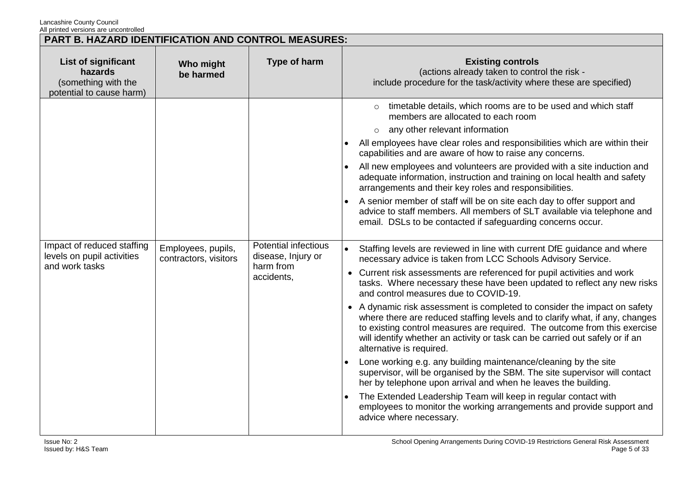| PART B. HAZARD IDENTIFICATION AND CONTROL MEASURES:                               |                                             |                                                                              |                                                                                                                                                                                                                                                                                                                                                                                                                                                                                                                                                                                                                                                                                                                                                                                                                                                                                                                                                                                                                                                                                                                                                                                                                                                                                                                                                                                                                                                                                                                                                                                                                                                                                                                                                                                                                                         |  |
|-----------------------------------------------------------------------------------|---------------------------------------------|------------------------------------------------------------------------------|-----------------------------------------------------------------------------------------------------------------------------------------------------------------------------------------------------------------------------------------------------------------------------------------------------------------------------------------------------------------------------------------------------------------------------------------------------------------------------------------------------------------------------------------------------------------------------------------------------------------------------------------------------------------------------------------------------------------------------------------------------------------------------------------------------------------------------------------------------------------------------------------------------------------------------------------------------------------------------------------------------------------------------------------------------------------------------------------------------------------------------------------------------------------------------------------------------------------------------------------------------------------------------------------------------------------------------------------------------------------------------------------------------------------------------------------------------------------------------------------------------------------------------------------------------------------------------------------------------------------------------------------------------------------------------------------------------------------------------------------------------------------------------------------------------------------------------------------|--|
| List of significant<br>hazards<br>(something with the<br>potential to cause harm) | Who might<br>be harmed                      | Type of harm                                                                 | <b>Existing controls</b><br>(actions already taken to control the risk -<br>include procedure for the task/activity where these are specified)                                                                                                                                                                                                                                                                                                                                                                                                                                                                                                                                                                                                                                                                                                                                                                                                                                                                                                                                                                                                                                                                                                                                                                                                                                                                                                                                                                                                                                                                                                                                                                                                                                                                                          |  |
| Impact of reduced staffing<br>levels on pupil activities<br>and work tasks        | Employees, pupils,<br>contractors, visitors | <b>Potential infectious</b><br>disease, Injury or<br>harm from<br>accidents, | o timetable details, which rooms are to be used and which staff<br>members are allocated to each room<br>any other relevant information<br>$\circ$<br>All employees have clear roles and responsibilities which are within their<br>capabilities and are aware of how to raise any concerns.<br>All new employees and volunteers are provided with a site induction and<br>adequate information, instruction and training on local health and safety<br>arrangements and their key roles and responsibilities.<br>A senior member of staff will be on site each day to offer support and<br>advice to staff members. All members of SLT available via telephone and<br>email. DSLs to be contacted if safeguarding concerns occur.<br>Staffing levels are reviewed in line with current DfE guidance and where<br>necessary advice is taken from LCC Schools Advisory Service.<br>Current risk assessments are referenced for pupil activities and work<br>$\bullet$<br>tasks. Where necessary these have been updated to reflect any new risks<br>and control measures due to COVID-19.<br>• A dynamic risk assessment is completed to consider the impact on safety<br>where there are reduced staffing levels and to clarify what, if any, changes<br>to existing control measures are required. The outcome from this exercise<br>will identify whether an activity or task can be carried out safely or if an<br>alternative is required.<br>Lone working e.g. any building maintenance/cleaning by the site<br>supervisor, will be organised by the SBM. The site supervisor will contact<br>her by telephone upon arrival and when he leaves the building.<br>The Extended Leadership Team will keep in regular contact with<br>employees to monitor the working arrangements and provide support and<br>advice where necessary. |  |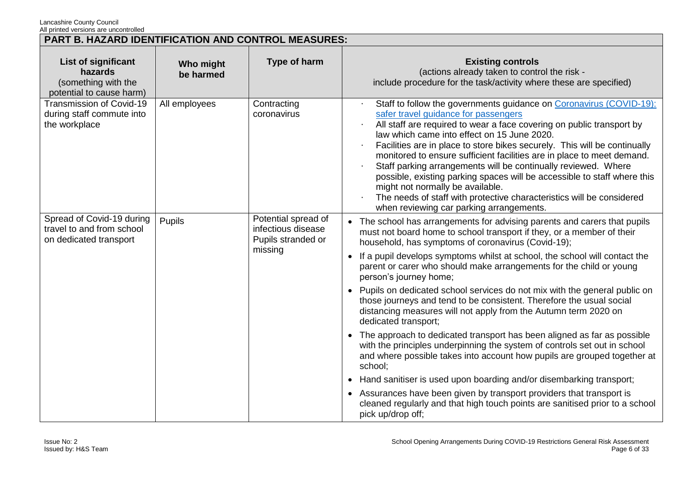| PART B. HAZARD IDENTIFICATION AND CONTROL MEASURES:                                      |                        |                                                                            |                                                                                                                                                                                                                                                                                                                                                                                                                                                                                                                                                                                                                                                                                                                                                                                                                                                                                                                                                                                                                                                                                                                                                                           |
|------------------------------------------------------------------------------------------|------------------------|----------------------------------------------------------------------------|---------------------------------------------------------------------------------------------------------------------------------------------------------------------------------------------------------------------------------------------------------------------------------------------------------------------------------------------------------------------------------------------------------------------------------------------------------------------------------------------------------------------------------------------------------------------------------------------------------------------------------------------------------------------------------------------------------------------------------------------------------------------------------------------------------------------------------------------------------------------------------------------------------------------------------------------------------------------------------------------------------------------------------------------------------------------------------------------------------------------------------------------------------------------------|
| <b>List of significant</b><br>hazards<br>(something with the<br>potential to cause harm) | Who might<br>be harmed | Type of harm                                                               | <b>Existing controls</b><br>(actions already taken to control the risk -<br>include procedure for the task/activity where these are specified)                                                                                                                                                                                                                                                                                                                                                                                                                                                                                                                                                                                                                                                                                                                                                                                                                                                                                                                                                                                                                            |
| Transmission of Covid-19<br>during staff commute into<br>the workplace                   | All employees          | Contracting<br>coronavirus                                                 | Staff to follow the governments guidance on Coronavirus (COVID-19):<br>safer travel guidance for passengers<br>All staff are required to wear a face covering on public transport by<br>law which came into effect on 15 June 2020.<br>Facilities are in place to store bikes securely. This will be continually<br>monitored to ensure sufficient facilities are in place to meet demand.<br>Staff parking arrangements will be continually reviewed. Where<br>possible, existing parking spaces will be accessible to staff where this<br>might not normally be available.<br>The needs of staff with protective characteristics will be considered<br>when reviewing car parking arrangements.                                                                                                                                                                                                                                                                                                                                                                                                                                                                         |
| Spread of Covid-19 during<br>travel to and from school<br>on dedicated transport         | Pupils                 | Potential spread of<br>infectious disease<br>Pupils stranded or<br>missing | • The school has arrangements for advising parents and carers that pupils<br>must not board home to school transport if they, or a member of their<br>household, has symptoms of coronavirus (Covid-19);<br>If a pupil develops symptoms whilst at school, the school will contact the<br>$\bullet$<br>parent or carer who should make arrangements for the child or young<br>person's journey home;<br>• Pupils on dedicated school services do not mix with the general public on<br>those journeys and tend to be consistent. Therefore the usual social<br>distancing measures will not apply from the Autumn term 2020 on<br>dedicated transport;<br>• The approach to dedicated transport has been aligned as far as possible<br>with the principles underpinning the system of controls set out in school<br>and where possible takes into account how pupils are grouped together at<br>school;<br>Hand sanitiser is used upon boarding and/or disembarking transport;<br>$\bullet$<br>• Assurances have been given by transport providers that transport is<br>cleaned regularly and that high touch points are sanitised prior to a school<br>pick up/drop off; |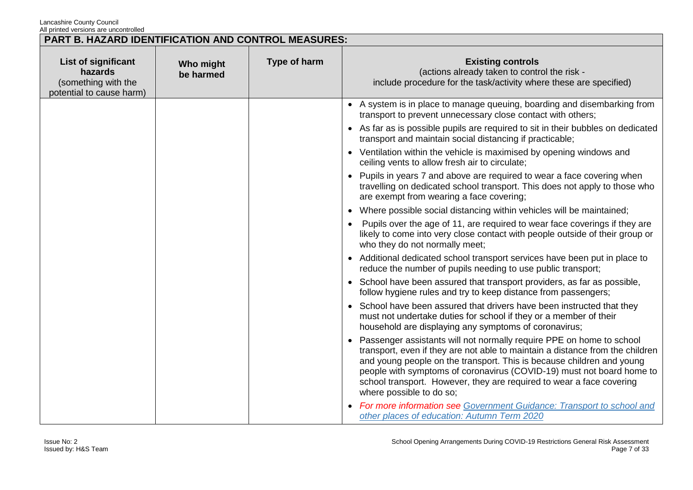|                                                                                   | PART B. HAZARD IDENTIFICATION AND CONTROL MEASURES: |              |                                                                                                                                                                                                                                                                                                                                                                                                               |  |
|-----------------------------------------------------------------------------------|-----------------------------------------------------|--------------|---------------------------------------------------------------------------------------------------------------------------------------------------------------------------------------------------------------------------------------------------------------------------------------------------------------------------------------------------------------------------------------------------------------|--|
| List of significant<br>hazards<br>(something with the<br>potential to cause harm) | Who might<br>be harmed                              | Type of harm | <b>Existing controls</b><br>(actions already taken to control the risk -<br>include procedure for the task/activity where these are specified)                                                                                                                                                                                                                                                                |  |
|                                                                                   |                                                     |              | • A system is in place to manage queuing, boarding and disembarking from<br>transport to prevent unnecessary close contact with others;                                                                                                                                                                                                                                                                       |  |
|                                                                                   |                                                     |              | • As far as is possible pupils are required to sit in their bubbles on dedicated<br>transport and maintain social distancing if practicable;                                                                                                                                                                                                                                                                  |  |
|                                                                                   |                                                     |              | • Ventilation within the vehicle is maximised by opening windows and<br>ceiling vents to allow fresh air to circulate;                                                                                                                                                                                                                                                                                        |  |
|                                                                                   |                                                     |              | • Pupils in years 7 and above are required to wear a face covering when<br>travelling on dedicated school transport. This does not apply to those who<br>are exempt from wearing a face covering;                                                                                                                                                                                                             |  |
|                                                                                   |                                                     |              | • Where possible social distancing within vehicles will be maintained;                                                                                                                                                                                                                                                                                                                                        |  |
|                                                                                   |                                                     |              | Pupils over the age of 11, are required to wear face coverings if they are<br>likely to come into very close contact with people outside of their group or<br>who they do not normally meet;                                                                                                                                                                                                                  |  |
|                                                                                   |                                                     |              | • Additional dedicated school transport services have been put in place to<br>reduce the number of pupils needing to use public transport;                                                                                                                                                                                                                                                                    |  |
|                                                                                   |                                                     |              | • School have been assured that transport providers, as far as possible,<br>follow hygiene rules and try to keep distance from passengers;                                                                                                                                                                                                                                                                    |  |
|                                                                                   |                                                     |              | School have been assured that drivers have been instructed that they<br>$\bullet$<br>must not undertake duties for school if they or a member of their<br>household are displaying any symptoms of coronavirus;                                                                                                                                                                                               |  |
|                                                                                   |                                                     |              | • Passenger assistants will not normally require PPE on home to school<br>transport, even if they are not able to maintain a distance from the children<br>and young people on the transport. This is because children and young<br>people with symptoms of coronavirus (COVID-19) must not board home to<br>school transport. However, they are required to wear a face covering<br>where possible to do so; |  |
|                                                                                   |                                                     |              | <b>For more information see Government Guidance: Transport to school and</b><br>other places of education: Autumn Term 2020                                                                                                                                                                                                                                                                                   |  |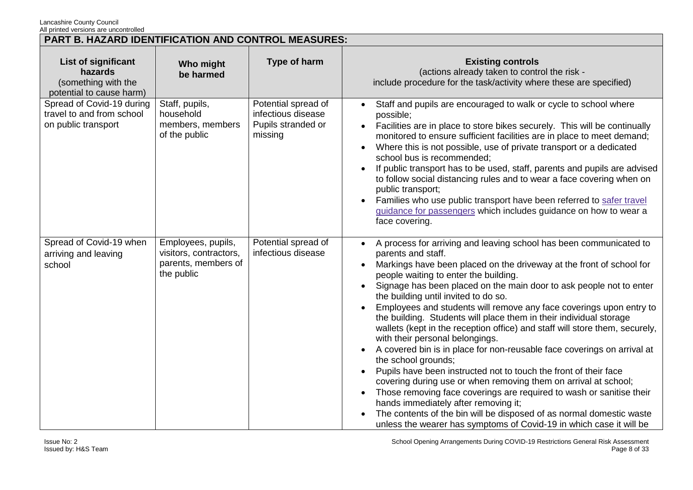| <b>PART B. HAZARD IDENTIFICATION AND CONTROL MEASURES:</b>                               |                                                                                   |                                                                            |                                                                                                                                                                                                                                                                                                                                                                                                                                                                                                                                                                                                                                                                                                                                                                                                                                                                                                                                                                                                                                                                                                                           |
|------------------------------------------------------------------------------------------|-----------------------------------------------------------------------------------|----------------------------------------------------------------------------|---------------------------------------------------------------------------------------------------------------------------------------------------------------------------------------------------------------------------------------------------------------------------------------------------------------------------------------------------------------------------------------------------------------------------------------------------------------------------------------------------------------------------------------------------------------------------------------------------------------------------------------------------------------------------------------------------------------------------------------------------------------------------------------------------------------------------------------------------------------------------------------------------------------------------------------------------------------------------------------------------------------------------------------------------------------------------------------------------------------------------|
| <b>List of significant</b><br>hazards<br>(something with the<br>potential to cause harm) | Who might<br>be harmed                                                            | Type of harm                                                               | <b>Existing controls</b><br>(actions already taken to control the risk -<br>include procedure for the task/activity where these are specified)                                                                                                                                                                                                                                                                                                                                                                                                                                                                                                                                                                                                                                                                                                                                                                                                                                                                                                                                                                            |
| Spread of Covid-19 during<br>travel to and from school<br>on public transport            | Staff, pupils,<br>household<br>members, members<br>of the public                  | Potential spread of<br>infectious disease<br>Pupils stranded or<br>missing | Staff and pupils are encouraged to walk or cycle to school where<br>$\bullet$<br>possible;<br>Facilities are in place to store bikes securely. This will be continually<br>$\bullet$<br>monitored to ensure sufficient facilities are in place to meet demand;<br>Where this is not possible, use of private transport or a dedicated<br>school bus is recommended;<br>If public transport has to be used, staff, parents and pupils are advised<br>to follow social distancing rules and to wear a face covering when on<br>public transport;<br>Families who use public transport have been referred to safer travel<br>guidance for passengers which includes guidance on how to wear a<br>face covering.                                                                                                                                                                                                                                                                                                                                                                                                              |
| Spread of Covid-19 when<br>arriving and leaving<br>school                                | Employees, pupils,<br>visitors, contractors,<br>parents, members of<br>the public | Potential spread of<br>infectious disease                                  | A process for arriving and leaving school has been communicated to<br>$\bullet$<br>parents and staff.<br>Markings have been placed on the driveway at the front of school for<br>people waiting to enter the building.<br>Signage has been placed on the main door to ask people not to enter<br>the building until invited to do so.<br>Employees and students will remove any face coverings upon entry to<br>the building. Students will place them in their individual storage<br>wallets (kept in the reception office) and staff will store them, securely,<br>with their personal belongings.<br>A covered bin is in place for non-reusable face coverings on arrival at<br>the school grounds;<br>Pupils have been instructed not to touch the front of their face<br>$\bullet$<br>covering during use or when removing them on arrival at school;<br>Those removing face coverings are required to wash or sanitise their<br>hands immediately after removing it;<br>The contents of the bin will be disposed of as normal domestic waste<br>unless the wearer has symptoms of Covid-19 in which case it will be |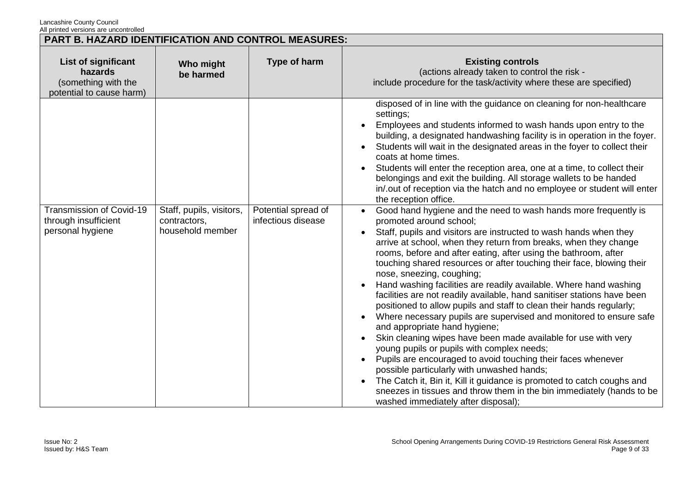| <b>PART B. HAZARD IDENTIFICATION AND CONTROL MEASURES:</b>                        |                                                              |                                           |                                                                                                                                                                                                                                                                                                                                                                                                                                                                                                                                                                                                                                                                                                                                                                                                                                                                                                                                                                                                                                                                                                                                                                                                                                                                                                                                                                                                                                                                                                                                                                                                                                                                                                                                                                      |
|-----------------------------------------------------------------------------------|--------------------------------------------------------------|-------------------------------------------|----------------------------------------------------------------------------------------------------------------------------------------------------------------------------------------------------------------------------------------------------------------------------------------------------------------------------------------------------------------------------------------------------------------------------------------------------------------------------------------------------------------------------------------------------------------------------------------------------------------------------------------------------------------------------------------------------------------------------------------------------------------------------------------------------------------------------------------------------------------------------------------------------------------------------------------------------------------------------------------------------------------------------------------------------------------------------------------------------------------------------------------------------------------------------------------------------------------------------------------------------------------------------------------------------------------------------------------------------------------------------------------------------------------------------------------------------------------------------------------------------------------------------------------------------------------------------------------------------------------------------------------------------------------------------------------------------------------------------------------------------------------------|
| List of significant<br>hazards<br>(something with the<br>potential to cause harm) | Who might<br>be harmed                                       | Type of harm                              | <b>Existing controls</b><br>(actions already taken to control the risk -<br>include procedure for the task/activity where these are specified)                                                                                                                                                                                                                                                                                                                                                                                                                                                                                                                                                                                                                                                                                                                                                                                                                                                                                                                                                                                                                                                                                                                                                                                                                                                                                                                                                                                                                                                                                                                                                                                                                       |
| Transmission of Covid-19<br>through insufficient<br>personal hygiene              | Staff, pupils, visitors,<br>contractors,<br>household member | Potential spread of<br>infectious disease | disposed of in line with the guidance on cleaning for non-healthcare<br>settings;<br>Employees and students informed to wash hands upon entry to the<br>building, a designated handwashing facility is in operation in the foyer.<br>Students will wait in the designated areas in the foyer to collect their<br>coats at home times.<br>Students will enter the reception area, one at a time, to collect their<br>belongings and exit the building. All storage wallets to be handed<br>in/.out of reception via the hatch and no employee or student will enter<br>the reception office.<br>• Good hand hygiene and the need to wash hands more frequently is<br>promoted around school;<br>Staff, pupils and visitors are instructed to wash hands when they<br>arrive at school, when they return from breaks, when they change<br>rooms, before and after eating, after using the bathroom, after<br>touching shared resources or after touching their face, blowing their<br>nose, sneezing, coughing;<br>Hand washing facilities are readily available. Where hand washing<br>facilities are not readily available, hand sanitiser stations have been<br>positioned to allow pupils and staff to clean their hands regularly;<br>Where necessary pupils are supervised and monitored to ensure safe<br>and appropriate hand hygiene;<br>Skin cleaning wipes have been made available for use with very<br>young pupils or pupils with complex needs;<br>Pupils are encouraged to avoid touching their faces whenever<br>possible particularly with unwashed hands;<br>The Catch it, Bin it, Kill it guidance is promoted to catch coughs and<br>sneezes in tissues and throw them in the bin immediately (hands to be<br>washed immediately after disposal); |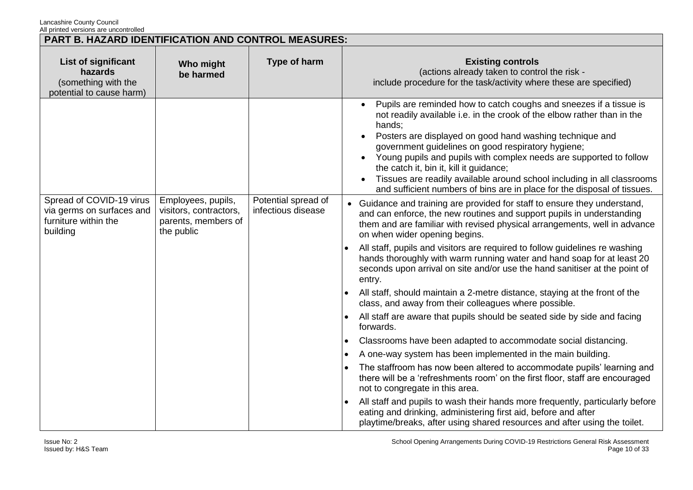|                                                                                           | PART B. HAZARD IDENTIFICATION AND CONTROL MEASURES:                               |                                           |                                                                                                                                                                                                                                                                                                                                                                                                                                                                                                                                                                |  |
|-------------------------------------------------------------------------------------------|-----------------------------------------------------------------------------------|-------------------------------------------|----------------------------------------------------------------------------------------------------------------------------------------------------------------------------------------------------------------------------------------------------------------------------------------------------------------------------------------------------------------------------------------------------------------------------------------------------------------------------------------------------------------------------------------------------------------|--|
| List of significant<br>hazards<br>(something with the<br>potential to cause harm)         | Who might<br>be harmed                                                            | Type of harm                              | <b>Existing controls</b><br>(actions already taken to control the risk -<br>include procedure for the task/activity where these are specified)                                                                                                                                                                                                                                                                                                                                                                                                                 |  |
|                                                                                           |                                                                                   |                                           | Pupils are reminded how to catch coughs and sneezes if a tissue is<br>not readily available i.e. in the crook of the elbow rather than in the<br>hands;<br>Posters are displayed on good hand washing technique and<br>government guidelines on good respiratory hygiene;<br>Young pupils and pupils with complex needs are supported to follow<br>$\bullet$<br>the catch it, bin it, kill it guidance;<br>Tissues are readily available around school including in all classrooms<br>and sufficient numbers of bins are in place for the disposal of tissues. |  |
| Spread of COVID-19 virus<br>via germs on surfaces and<br>furniture within the<br>building | Employees, pupils,<br>visitors, contractors,<br>parents, members of<br>the public | Potential spread of<br>infectious disease | • Guidance and training are provided for staff to ensure they understand,<br>and can enforce, the new routines and support pupils in understanding<br>them and are familiar with revised physical arrangements, well in advance<br>on when wider opening begins.<br>All staff, pupils and visitors are required to follow guidelines re washing<br>hands thoroughly with warm running water and hand soap for at least 20                                                                                                                                      |  |
|                                                                                           |                                                                                   |                                           | seconds upon arrival on site and/or use the hand sanitiser at the point of<br>entry.<br>All staff, should maintain a 2-metre distance, staying at the front of the<br>class, and away from their colleagues where possible.                                                                                                                                                                                                                                                                                                                                    |  |
|                                                                                           |                                                                                   |                                           | All staff are aware that pupils should be seated side by side and facing<br>forwards.                                                                                                                                                                                                                                                                                                                                                                                                                                                                          |  |
|                                                                                           |                                                                                   |                                           | Classrooms have been adapted to accommodate social distancing.                                                                                                                                                                                                                                                                                                                                                                                                                                                                                                 |  |
|                                                                                           |                                                                                   |                                           | A one-way system has been implemented in the main building.                                                                                                                                                                                                                                                                                                                                                                                                                                                                                                    |  |
|                                                                                           |                                                                                   |                                           | The staffroom has now been altered to accommodate pupils' learning and<br>there will be a 'refreshments room' on the first floor, staff are encouraged<br>not to congregate in this area.                                                                                                                                                                                                                                                                                                                                                                      |  |
|                                                                                           |                                                                                   |                                           | All staff and pupils to wash their hands more frequently, particularly before<br>eating and drinking, administering first aid, before and after<br>playtime/breaks, after using shared resources and after using the toilet.                                                                                                                                                                                                                                                                                                                                   |  |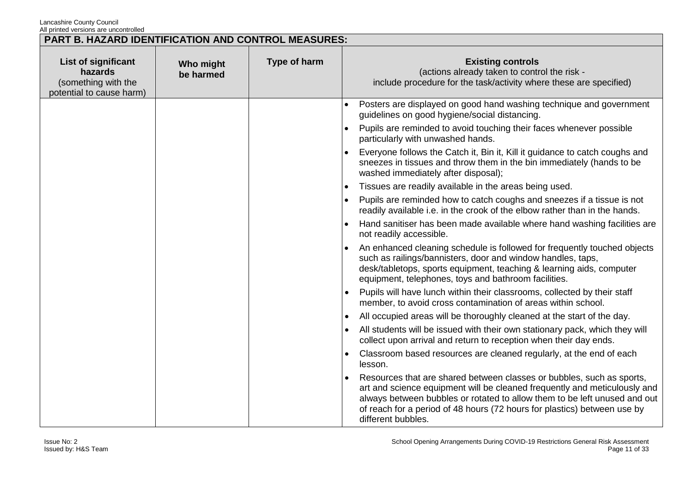|                                                                                   | PART B. HAZARD IDENTIFICATION AND CONTROL MEASURES: |              |                                                                                                                                                                                                                                                                                                                                   |  |  |
|-----------------------------------------------------------------------------------|-----------------------------------------------------|--------------|-----------------------------------------------------------------------------------------------------------------------------------------------------------------------------------------------------------------------------------------------------------------------------------------------------------------------------------|--|--|
| List of significant<br>hazards<br>(something with the<br>potential to cause harm) | Who might<br>be harmed                              | Type of harm | <b>Existing controls</b><br>(actions already taken to control the risk -<br>include procedure for the task/activity where these are specified)                                                                                                                                                                                    |  |  |
|                                                                                   |                                                     |              | Posters are displayed on good hand washing technique and government<br>guidelines on good hygiene/social distancing.                                                                                                                                                                                                              |  |  |
|                                                                                   |                                                     |              | Pupils are reminded to avoid touching their faces whenever possible<br>$\bullet$<br>particularly with unwashed hands.                                                                                                                                                                                                             |  |  |
|                                                                                   |                                                     |              | Everyone follows the Catch it, Bin it, Kill it guidance to catch coughs and<br>sneezes in tissues and throw them in the bin immediately (hands to be<br>washed immediately after disposal);                                                                                                                                       |  |  |
|                                                                                   |                                                     |              | Tissues are readily available in the areas being used.<br>$\bullet$                                                                                                                                                                                                                                                               |  |  |
|                                                                                   |                                                     |              | Pupils are reminded how to catch coughs and sneezes if a tissue is not<br>readily available i.e. in the crook of the elbow rather than in the hands.                                                                                                                                                                              |  |  |
|                                                                                   |                                                     |              | Hand sanitiser has been made available where hand washing facilities are<br>not readily accessible.                                                                                                                                                                                                                               |  |  |
|                                                                                   |                                                     |              | An enhanced cleaning schedule is followed for frequently touched objects<br>such as railings/bannisters, door and window handles, taps,<br>desk/tabletops, sports equipment, teaching & learning aids, computer<br>equipment, telephones, toys and bathroom facilities.                                                           |  |  |
|                                                                                   |                                                     |              | Pupils will have lunch within their classrooms, collected by their staff<br>$\bullet$<br>member, to avoid cross contamination of areas within school.                                                                                                                                                                             |  |  |
|                                                                                   |                                                     |              | All occupied areas will be thoroughly cleaned at the start of the day.<br>$\bullet$                                                                                                                                                                                                                                               |  |  |
|                                                                                   |                                                     |              | All students will be issued with their own stationary pack, which they will<br>collect upon arrival and return to reception when their day ends.                                                                                                                                                                                  |  |  |
|                                                                                   |                                                     |              | Classroom based resources are cleaned regularly, at the end of each<br>٠<br>lesson.                                                                                                                                                                                                                                               |  |  |
|                                                                                   |                                                     |              | Resources that are shared between classes or bubbles, such as sports,<br>art and science equipment will be cleaned frequently and meticulously and<br>always between bubbles or rotated to allow them to be left unused and out<br>of reach for a period of 48 hours (72 hours for plastics) between use by<br>different bubbles. |  |  |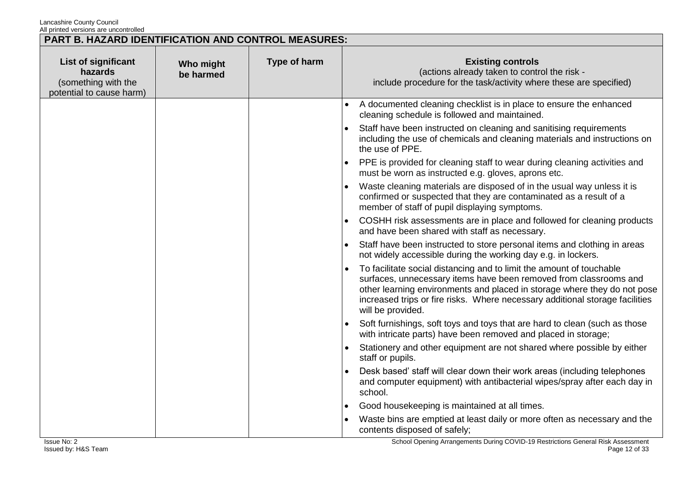| <b>PART B. HAZARD IDENTIFICATION AND CONTROL MEASURES:</b>                        |                        |              |                                                                                                                                                                                                                                                                                                                            |  |
|-----------------------------------------------------------------------------------|------------------------|--------------|----------------------------------------------------------------------------------------------------------------------------------------------------------------------------------------------------------------------------------------------------------------------------------------------------------------------------|--|
| List of significant<br>hazards<br>(something with the<br>potential to cause harm) | Who might<br>be harmed | Type of harm | <b>Existing controls</b><br>(actions already taken to control the risk -<br>include procedure for the task/activity where these are specified)                                                                                                                                                                             |  |
|                                                                                   |                        |              | A documented cleaning checklist is in place to ensure the enhanced<br>cleaning schedule is followed and maintained.                                                                                                                                                                                                        |  |
|                                                                                   |                        |              | Staff have been instructed on cleaning and sanitising requirements<br>including the use of chemicals and cleaning materials and instructions on<br>the use of PPE.                                                                                                                                                         |  |
|                                                                                   |                        |              | PPE is provided for cleaning staff to wear during cleaning activities and<br>must be worn as instructed e.g. gloves, aprons etc.                                                                                                                                                                                           |  |
|                                                                                   |                        |              | Waste cleaning materials are disposed of in the usual way unless it is<br>confirmed or suspected that they are contaminated as a result of a<br>member of staff of pupil displaying symptoms.                                                                                                                              |  |
|                                                                                   |                        |              | COSHH risk assessments are in place and followed for cleaning products<br>and have been shared with staff as necessary.                                                                                                                                                                                                    |  |
|                                                                                   |                        |              | Staff have been instructed to store personal items and clothing in areas<br>$\bullet$<br>not widely accessible during the working day e.g. in lockers.                                                                                                                                                                     |  |
|                                                                                   |                        |              | To facilitate social distancing and to limit the amount of touchable<br>surfaces, unnecessary items have been removed from classrooms and<br>other learning environments and placed in storage where they do not pose<br>increased trips or fire risks. Where necessary additional storage facilities<br>will be provided. |  |
|                                                                                   |                        |              | Soft furnishings, soft toys and toys that are hard to clean (such as those<br>with intricate parts) have been removed and placed in storage;                                                                                                                                                                               |  |
|                                                                                   |                        |              | Stationery and other equipment are not shared where possible by either<br>staff or pupils.                                                                                                                                                                                                                                 |  |
|                                                                                   |                        |              | Desk based' staff will clear down their work areas (including telephones<br>and computer equipment) with antibacterial wipes/spray after each day in<br>school.                                                                                                                                                            |  |
|                                                                                   |                        |              | Good housekeeping is maintained at all times.                                                                                                                                                                                                                                                                              |  |
|                                                                                   |                        |              | Waste bins are emptied at least daily or more often as necessary and the<br>contents disposed of safely;                                                                                                                                                                                                                   |  |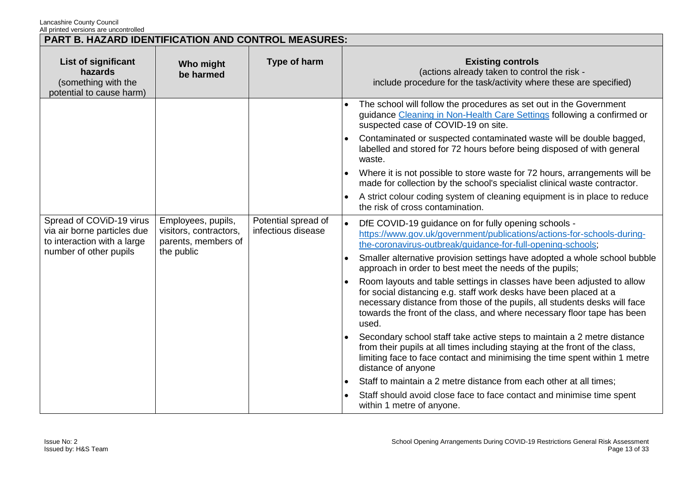| <b>PART B. HAZARD IDENTIFICATION AND CONTROL MEASURES:</b>                                                                     |                                                                     |                                           |                                                                                                                                                                                                                                                                                                              |  |
|--------------------------------------------------------------------------------------------------------------------------------|---------------------------------------------------------------------|-------------------------------------------|--------------------------------------------------------------------------------------------------------------------------------------------------------------------------------------------------------------------------------------------------------------------------------------------------------------|--|
| List of significant<br>hazards<br>(something with the<br>potential to cause harm)                                              | Who might<br>be harmed                                              | Type of harm                              | <b>Existing controls</b><br>(actions already taken to control the risk -<br>include procedure for the task/activity where these are specified)                                                                                                                                                               |  |
|                                                                                                                                |                                                                     |                                           | The school will follow the procedures as set out in the Government<br>guidance Cleaning in Non-Health Care Settings following a confirmed or<br>suspected case of COVID-19 on site.                                                                                                                          |  |
|                                                                                                                                |                                                                     |                                           | Contaminated or suspected contaminated waste will be double bagged,<br>labelled and stored for 72 hours before being disposed of with general<br>waste.                                                                                                                                                      |  |
|                                                                                                                                |                                                                     |                                           | Where it is not possible to store waste for 72 hours, arrangements will be<br>made for collection by the school's specialist clinical waste contractor.                                                                                                                                                      |  |
|                                                                                                                                |                                                                     |                                           | A strict colour coding system of cleaning equipment is in place to reduce<br>$\bullet$<br>the risk of cross contamination.                                                                                                                                                                                   |  |
| Spread of COViD-19 virus<br>via air borne particles due<br>to interaction with a large<br>number of other pupils<br>the public | Employees, pupils,<br>visitors, contractors,<br>parents, members of | Potential spread of<br>infectious disease | DfE COVID-19 guidance on for fully opening schools -<br>https://www.gov.uk/government/publications/actions-for-schools-during-<br>the-coronavirus-outbreak/guidance-for-full-opening-schools;                                                                                                                |  |
|                                                                                                                                |                                                                     |                                           | Smaller alternative provision settings have adopted a whole school bubble<br>approach in order to best meet the needs of the pupils;                                                                                                                                                                         |  |
|                                                                                                                                |                                                                     |                                           | Room layouts and table settings in classes have been adjusted to allow<br>for social distancing e.g. staff work desks have been placed at a<br>necessary distance from those of the pupils, all students desks will face<br>towards the front of the class, and where necessary floor tape has been<br>used. |  |
|                                                                                                                                |                                                                     |                                           | Secondary school staff take active steps to maintain a 2 metre distance<br>from their pupils at all times including staying at the front of the class,<br>limiting face to face contact and minimising the time spent within 1 metre<br>distance of anyone                                                   |  |
|                                                                                                                                |                                                                     |                                           | Staff to maintain a 2 metre distance from each other at all times;                                                                                                                                                                                                                                           |  |
|                                                                                                                                |                                                                     |                                           | Staff should avoid close face to face contact and minimise time spent<br>within 1 metre of anyone.                                                                                                                                                                                                           |  |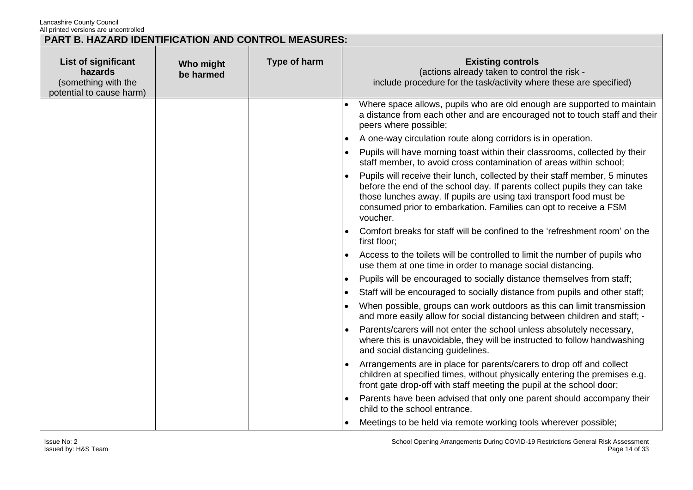| PART B. HAZARD IDENTIFICATION AND CONTROL MEASURES:                               |                        |              |                                                                                                                                                                                                                                                                                                                 |
|-----------------------------------------------------------------------------------|------------------------|--------------|-----------------------------------------------------------------------------------------------------------------------------------------------------------------------------------------------------------------------------------------------------------------------------------------------------------------|
| List of significant<br>hazards<br>(something with the<br>potential to cause harm) | Who might<br>be harmed | Type of harm | <b>Existing controls</b><br>(actions already taken to control the risk -<br>include procedure for the task/activity where these are specified)                                                                                                                                                                  |
|                                                                                   |                        |              | Where space allows, pupils who are old enough are supported to maintain<br>a distance from each other and are encouraged not to touch staff and their<br>peers where possible;                                                                                                                                  |
|                                                                                   |                        |              | A one-way circulation route along corridors is in operation.                                                                                                                                                                                                                                                    |
|                                                                                   |                        |              | Pupils will have morning toast within their classrooms, collected by their<br>staff member, to avoid cross contamination of areas within school;                                                                                                                                                                |
|                                                                                   |                        |              | Pupils will receive their lunch, collected by their staff member, 5 minutes<br>before the end of the school day. If parents collect pupils they can take<br>those lunches away. If pupils are using taxi transport food must be<br>consumed prior to embarkation. Families can opt to receive a FSM<br>voucher. |
|                                                                                   |                        |              | Comfort breaks for staff will be confined to the 'refreshment room' on the<br>first floor;                                                                                                                                                                                                                      |
|                                                                                   |                        |              | Access to the toilets will be controlled to limit the number of pupils who<br>use them at one time in order to manage social distancing.                                                                                                                                                                        |
|                                                                                   |                        |              | Pupils will be encouraged to socially distance themselves from staff;                                                                                                                                                                                                                                           |
|                                                                                   |                        |              | Staff will be encouraged to socially distance from pupils and other staff;                                                                                                                                                                                                                                      |
|                                                                                   |                        |              | When possible, groups can work outdoors as this can limit transmission<br>and more easily allow for social distancing between children and staff; -                                                                                                                                                             |
|                                                                                   |                        |              | Parents/carers will not enter the school unless absolutely necessary,<br>where this is unavoidable, they will be instructed to follow handwashing<br>and social distancing guidelines.                                                                                                                          |
|                                                                                   |                        |              | Arrangements are in place for parents/carers to drop off and collect<br>children at specified times, without physically entering the premises e.g.<br>front gate drop-off with staff meeting the pupil at the school door;                                                                                      |
|                                                                                   |                        |              | Parents have been advised that only one parent should accompany their<br>child to the school entrance.                                                                                                                                                                                                          |
|                                                                                   |                        |              | Meetings to be held via remote working tools wherever possible;                                                                                                                                                                                                                                                 |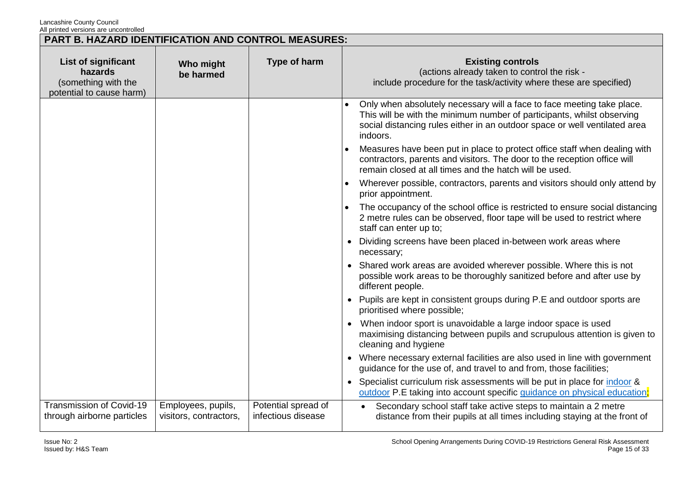| <b>PART B. HAZARD IDENTIFICATION AND CONTROL MEASURES:</b>                        |                                              |                                           |                                                                                                                                                                                                                                            |  |
|-----------------------------------------------------------------------------------|----------------------------------------------|-------------------------------------------|--------------------------------------------------------------------------------------------------------------------------------------------------------------------------------------------------------------------------------------------|--|
| List of significant<br>hazards<br>(something with the<br>potential to cause harm) | Who might<br>be harmed                       | Type of harm                              | <b>Existing controls</b><br>(actions already taken to control the risk -<br>include procedure for the task/activity where these are specified)                                                                                             |  |
|                                                                                   |                                              |                                           | Only when absolutely necessary will a face to face meeting take place.<br>This will be with the minimum number of participants, whilst observing<br>social distancing rules either in an outdoor space or well ventilated area<br>indoors. |  |
|                                                                                   |                                              |                                           | Measures have been put in place to protect office staff when dealing with<br>contractors, parents and visitors. The door to the reception office will<br>remain closed at all times and the hatch will be used.                            |  |
|                                                                                   |                                              |                                           | Wherever possible, contractors, parents and visitors should only attend by<br>$\bullet$<br>prior appointment.                                                                                                                              |  |
|                                                                                   |                                              |                                           | The occupancy of the school office is restricted to ensure social distancing<br>2 metre rules can be observed, floor tape will be used to restrict where<br>staff can enter up to;                                                         |  |
|                                                                                   |                                              |                                           | Dividing screens have been placed in-between work areas where<br>necessary;                                                                                                                                                                |  |
|                                                                                   |                                              |                                           | • Shared work areas are avoided wherever possible. Where this is not<br>possible work areas to be thoroughly sanitized before and after use by<br>different people.                                                                        |  |
|                                                                                   |                                              |                                           | • Pupils are kept in consistent groups during P.E and outdoor sports are<br>prioritised where possible;                                                                                                                                    |  |
|                                                                                   |                                              |                                           | When indoor sport is unavoidable a large indoor space is used<br>maximising distancing between pupils and scrupulous attention is given to<br>cleaning and hygiene                                                                         |  |
|                                                                                   |                                              |                                           | • Where necessary external facilities are also used in line with government<br>guidance for the use of, and travel to and from, those facilities;                                                                                          |  |
|                                                                                   |                                              |                                           | Specialist curriculum risk assessments will be put in place for indoor &<br>outdoor P.E taking into account specific guidance on physical education;                                                                                       |  |
| Transmission of Covid-19<br>through airborne particles                            | Employees, pupils,<br>visitors, contractors, | Potential spread of<br>infectious disease | Secondary school staff take active steps to maintain a 2 metre<br>distance from their pupils at all times including staying at the front of                                                                                                |  |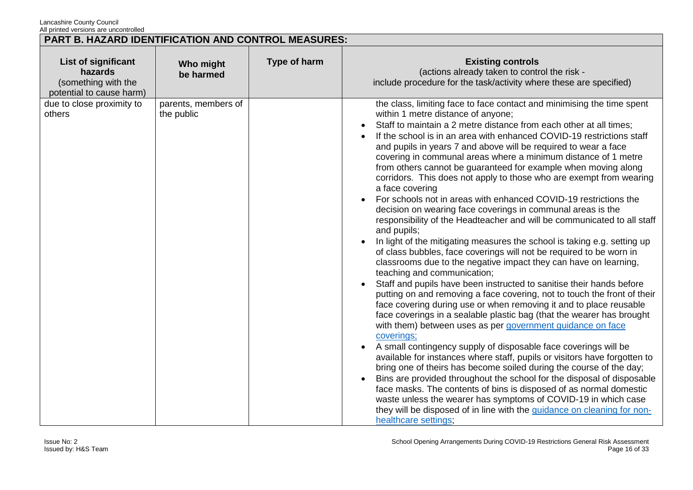|                                                                                   | PART B. HAZARD IDENTIFICATION AND CONTROL MEASURES: |                     |                                                                                                                                                                                                                                                                                                                                                                                                                                                                                                                                                                                                                                                                                                                                                                                                                                                                                                                                                                                                                                                                                                                                                                                                                                                                                                                                                                                                                                                                                                                                                                                                                                                                                                                                                                                                                                                                                                                                                                            |  |
|-----------------------------------------------------------------------------------|-----------------------------------------------------|---------------------|----------------------------------------------------------------------------------------------------------------------------------------------------------------------------------------------------------------------------------------------------------------------------------------------------------------------------------------------------------------------------------------------------------------------------------------------------------------------------------------------------------------------------------------------------------------------------------------------------------------------------------------------------------------------------------------------------------------------------------------------------------------------------------------------------------------------------------------------------------------------------------------------------------------------------------------------------------------------------------------------------------------------------------------------------------------------------------------------------------------------------------------------------------------------------------------------------------------------------------------------------------------------------------------------------------------------------------------------------------------------------------------------------------------------------------------------------------------------------------------------------------------------------------------------------------------------------------------------------------------------------------------------------------------------------------------------------------------------------------------------------------------------------------------------------------------------------------------------------------------------------------------------------------------------------------------------------------------------------|--|
| List of significant<br>hazards<br>(something with the<br>potential to cause harm) | Who might<br>be harmed                              | <b>Type of harm</b> | <b>Existing controls</b><br>(actions already taken to control the risk -<br>include procedure for the task/activity where these are specified)                                                                                                                                                                                                                                                                                                                                                                                                                                                                                                                                                                                                                                                                                                                                                                                                                                                                                                                                                                                                                                                                                                                                                                                                                                                                                                                                                                                                                                                                                                                                                                                                                                                                                                                                                                                                                             |  |
| due to close proximity to<br>others                                               | parents, members of<br>the public                   |                     | the class, limiting face to face contact and minimising the time spent<br>within 1 metre distance of anyone;<br>Staff to maintain a 2 metre distance from each other at all times;<br>If the school is in an area with enhanced COVID-19 restrictions staff<br>and pupils in years 7 and above will be required to wear a face<br>covering in communal areas where a minimum distance of 1 metre<br>from others cannot be guaranteed for example when moving along<br>corridors. This does not apply to those who are exempt from wearing<br>a face covering<br>For schools not in areas with enhanced COVID-19 restrictions the<br>decision on wearing face coverings in communal areas is the<br>responsibility of the Headteacher and will be communicated to all staff<br>and pupils;<br>In light of the mitigating measures the school is taking e.g. setting up<br>of class bubbles, face coverings will not be required to be worn in<br>classrooms due to the negative impact they can have on learning,<br>teaching and communication;<br>Staff and pupils have been instructed to sanitise their hands before<br>putting on and removing a face covering, not to touch the front of their<br>face covering during use or when removing it and to place reusable<br>face coverings in a sealable plastic bag (that the wearer has brought<br>with them) between uses as per government guidance on face<br>coverings;<br>A small contingency supply of disposable face coverings will be<br>available for instances where staff, pupils or visitors have forgotten to<br>bring one of theirs has become soiled during the course of the day;<br>Bins are provided throughout the school for the disposal of disposable<br>face masks. The contents of bins is disposed of as normal domestic<br>waste unless the wearer has symptoms of COVID-19 in which case<br>they will be disposed of in line with the guidance on cleaning for non-<br>healthcare settings; |  |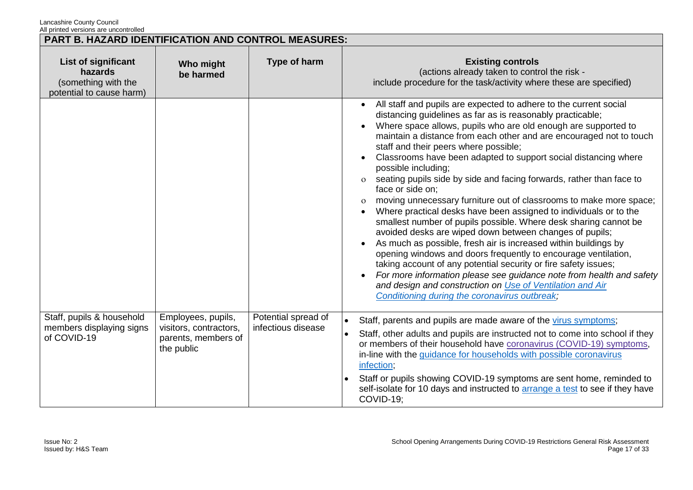|                                                                                   | PART B. HAZARD IDENTIFICATION AND CONTROL MEASURES:                               |                                           |                                                                                                                                                                                                                                                                                                                                                                                                                                                                                                                                                                                                                                                                                                                                                                                                                                                                                                                                                                                                                                                                                                                                                                                                             |  |  |
|-----------------------------------------------------------------------------------|-----------------------------------------------------------------------------------|-------------------------------------------|-------------------------------------------------------------------------------------------------------------------------------------------------------------------------------------------------------------------------------------------------------------------------------------------------------------------------------------------------------------------------------------------------------------------------------------------------------------------------------------------------------------------------------------------------------------------------------------------------------------------------------------------------------------------------------------------------------------------------------------------------------------------------------------------------------------------------------------------------------------------------------------------------------------------------------------------------------------------------------------------------------------------------------------------------------------------------------------------------------------------------------------------------------------------------------------------------------------|--|--|
| List of significant<br>hazards<br>(something with the<br>potential to cause harm) | Who might<br>be harmed                                                            | Type of harm                              | <b>Existing controls</b><br>(actions already taken to control the risk -<br>include procedure for the task/activity where these are specified)                                                                                                                                                                                                                                                                                                                                                                                                                                                                                                                                                                                                                                                                                                                                                                                                                                                                                                                                                                                                                                                              |  |  |
|                                                                                   |                                                                                   |                                           | All staff and pupils are expected to adhere to the current social<br>distancing guidelines as far as is reasonably practicable;<br>Where space allows, pupils who are old enough are supported to<br>maintain a distance from each other and are encouraged not to touch<br>staff and their peers where possible;<br>Classrooms have been adapted to support social distancing where<br>possible including;<br>seating pupils side by side and facing forwards, rather than face to<br>$\Omega$<br>face or side on;<br>moving unnecessary furniture out of classrooms to make more space;<br>$\mathbf{o}$<br>Where practical desks have been assigned to individuals or to the<br>smallest number of pupils possible. Where desk sharing cannot be<br>avoided desks are wiped down between changes of pupils;<br>As much as possible, fresh air is increased within buildings by<br>opening windows and doors frequently to encourage ventilation,<br>taking account of any potential security or fire safety issues;<br>For more information please see guidance note from health and safety<br>and design and construction on Use of Ventilation and Air<br>Conditioning during the coronavirus outbreak; |  |  |
| Staff, pupils & household<br>members displaying signs<br>of COVID-19              | Employees, pupils,<br>visitors, contractors,<br>parents, members of<br>the public | Potential spread of<br>infectious disease | Staff, parents and pupils are made aware of the virus symptoms;<br>$\bullet$<br>Staff, other adults and pupils are instructed not to come into school if they<br>or members of their household have coronavirus (COVID-19) symptoms,<br>in-line with the guidance for households with possible coronavirus<br>infection;<br>Staff or pupils showing COVID-19 symptoms are sent home, reminded to<br>self-isolate for 10 days and instructed to arrange a test to see if they have<br>COVID-19;                                                                                                                                                                                                                                                                                                                                                                                                                                                                                                                                                                                                                                                                                                              |  |  |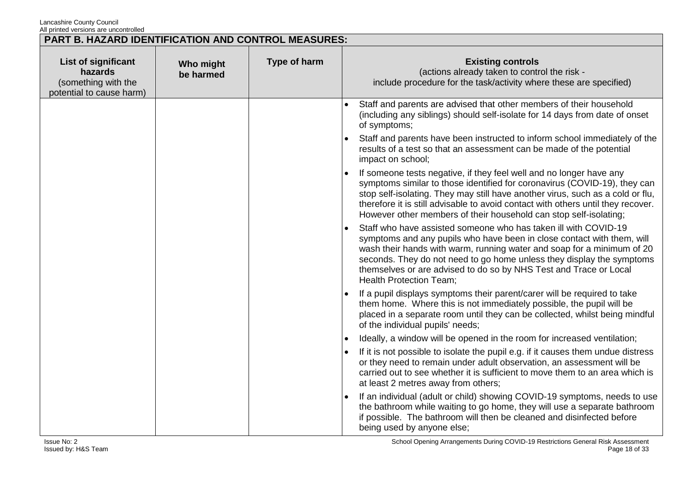| PART B. HAZARD IDENTIFICATION AND CONTROL MEASURES:                               |                        |              |                                                                                                                                                                                                                                                                                                                                                                                                     |  |
|-----------------------------------------------------------------------------------|------------------------|--------------|-----------------------------------------------------------------------------------------------------------------------------------------------------------------------------------------------------------------------------------------------------------------------------------------------------------------------------------------------------------------------------------------------------|--|
| List of significant<br>hazards<br>(something with the<br>potential to cause harm) | Who might<br>be harmed | Type of harm | <b>Existing controls</b><br>(actions already taken to control the risk -<br>include procedure for the task/activity where these are specified)                                                                                                                                                                                                                                                      |  |
|                                                                                   |                        |              | Staff and parents are advised that other members of their household<br>(including any siblings) should self-isolate for 14 days from date of onset<br>of symptoms;                                                                                                                                                                                                                                  |  |
|                                                                                   |                        |              | Staff and parents have been instructed to inform school immediately of the<br>results of a test so that an assessment can be made of the potential<br>impact on school;                                                                                                                                                                                                                             |  |
|                                                                                   |                        |              | If someone tests negative, if they feel well and no longer have any<br>symptoms similar to those identified for coronavirus (COVID-19), they can<br>stop self-isolating. They may still have another virus, such as a cold or flu,<br>therefore it is still advisable to avoid contact with others until they recover.<br>However other members of their household can stop self-isolating;         |  |
|                                                                                   |                        |              | Staff who have assisted someone who has taken ill with COVID-19<br>symptoms and any pupils who have been in close contact with them, will<br>wash their hands with warm, running water and soap for a minimum of 20<br>seconds. They do not need to go home unless they display the symptoms<br>themselves or are advised to do so by NHS Test and Trace or Local<br><b>Health Protection Team:</b> |  |
|                                                                                   |                        |              | If a pupil displays symptoms their parent/carer will be required to take<br>them home. Where this is not immediately possible, the pupil will be<br>placed in a separate room until they can be collected, whilst being mindful<br>of the individual pupils' needs;                                                                                                                                 |  |
|                                                                                   |                        |              | Ideally, a window will be opened in the room for increased ventilation;                                                                                                                                                                                                                                                                                                                             |  |
|                                                                                   |                        |              | If it is not possible to isolate the pupil e.g. if it causes them undue distress<br>or they need to remain under adult observation, an assessment will be<br>carried out to see whether it is sufficient to move them to an area which is<br>at least 2 metres away from others;                                                                                                                    |  |
|                                                                                   |                        |              | If an individual (adult or child) showing COVID-19 symptoms, needs to use<br>the bathroom while waiting to go home, they will use a separate bathroom<br>if possible. The bathroom will then be cleaned and disinfected before<br>being used by anyone else;                                                                                                                                        |  |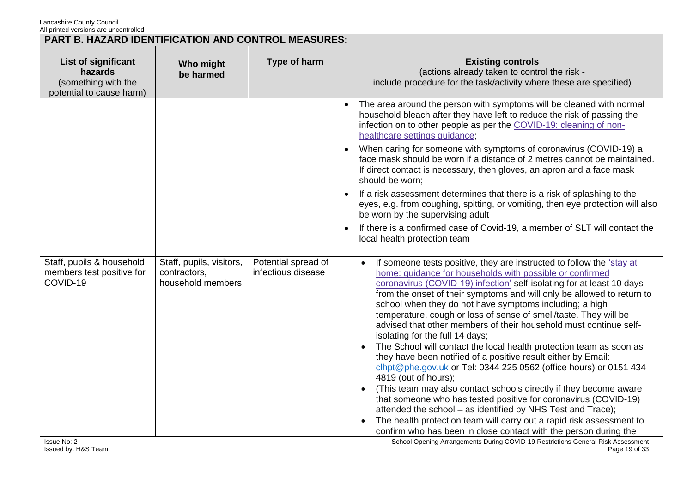| PART B. HAZARD IDENTIFICATION AND CONTROL MEASURES:                                      |                                                               |                                           |                                                                                                                                                                                                                                                                                                                                                                                                                                                                                                                                                                                                                                                                                                                                                                                                                                                                                                                                                                                                                                                                                                                     |  |
|------------------------------------------------------------------------------------------|---------------------------------------------------------------|-------------------------------------------|---------------------------------------------------------------------------------------------------------------------------------------------------------------------------------------------------------------------------------------------------------------------------------------------------------------------------------------------------------------------------------------------------------------------------------------------------------------------------------------------------------------------------------------------------------------------------------------------------------------------------------------------------------------------------------------------------------------------------------------------------------------------------------------------------------------------------------------------------------------------------------------------------------------------------------------------------------------------------------------------------------------------------------------------------------------------------------------------------------------------|--|
| <b>List of significant</b><br>hazards<br>(something with the<br>potential to cause harm) | Who might<br>be harmed                                        | Type of harm                              | <b>Existing controls</b><br>(actions already taken to control the risk -<br>include procedure for the task/activity where these are specified)                                                                                                                                                                                                                                                                                                                                                                                                                                                                                                                                                                                                                                                                                                                                                                                                                                                                                                                                                                      |  |
|                                                                                          |                                                               |                                           | The area around the person with symptoms will be cleaned with normal<br>household bleach after they have left to reduce the risk of passing the<br>infection on to other people as per the COVID-19: cleaning of non-<br>healthcare settings guidance;                                                                                                                                                                                                                                                                                                                                                                                                                                                                                                                                                                                                                                                                                                                                                                                                                                                              |  |
|                                                                                          |                                                               |                                           | When caring for someone with symptoms of coronavirus (COVID-19) a<br>face mask should be worn if a distance of 2 metres cannot be maintained.<br>If direct contact is necessary, then gloves, an apron and a face mask<br>should be worn;                                                                                                                                                                                                                                                                                                                                                                                                                                                                                                                                                                                                                                                                                                                                                                                                                                                                           |  |
|                                                                                          |                                                               |                                           | If a risk assessment determines that there is a risk of splashing to the<br>eyes, e.g. from coughing, spitting, or vomiting, then eye protection will also<br>be worn by the supervising adult                                                                                                                                                                                                                                                                                                                                                                                                                                                                                                                                                                                                                                                                                                                                                                                                                                                                                                                      |  |
|                                                                                          |                                                               |                                           | If there is a confirmed case of Covid-19, a member of SLT will contact the<br>local health protection team                                                                                                                                                                                                                                                                                                                                                                                                                                                                                                                                                                                                                                                                                                                                                                                                                                                                                                                                                                                                          |  |
| Staff, pupils & household<br>members test positive for<br>COVID-19                       | Staff, pupils, visitors,<br>contractors,<br>household members | Potential spread of<br>infectious disease | If someone tests positive, they are instructed to follow the 'stay at<br>home: guidance for households with possible or confirmed<br>coronavirus (COVID-19) infection' self-isolating for at least 10 days<br>from the onset of their symptoms and will only be allowed to return to<br>school when they do not have symptoms including; a high<br>temperature, cough or loss of sense of smell/taste. They will be<br>advised that other members of their household must continue self-<br>isolating for the full 14 days;<br>The School will contact the local health protection team as soon as<br>they have been notified of a positive result either by Email:<br>clhpt@phe.gov.uk or Tel: 0344 225 0562 (office hours) or 0151 434<br>4819 (out of hours);<br>(This team may also contact schools directly if they become aware<br>that someone who has tested positive for coronavirus (COVID-19)<br>attended the school - as identified by NHS Test and Trace);<br>The health protection team will carry out a rapid risk assessment to<br>confirm who has been in close contact with the person during the |  |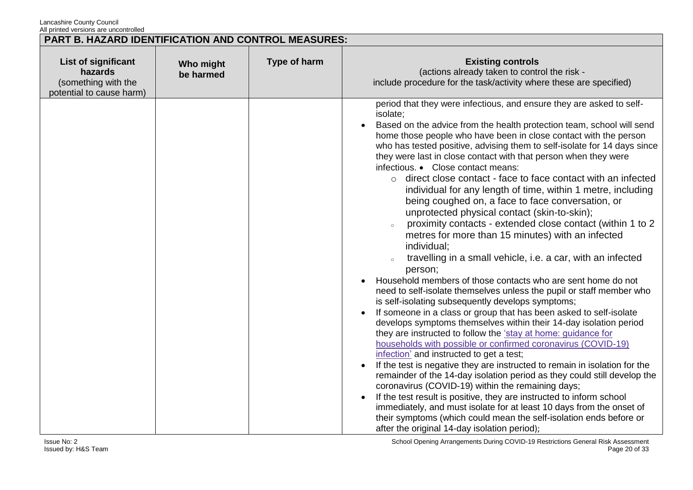| All printed versions are dricontrolled<br>PART B. HAZARD IDENTIFICATION AND CONTROL MEASURES: |                        |              |                                                                                                                                                                                                                                                                                                                                                                                                                                                                                                                                                                                                                                                                                                                                                                                                                                                                                                                                                                                                                                                                                                                                                                                                                                                                                                                                                                                                                                                                                                                                                                                                                                                                                                                                                                                                                                                                                       |
|-----------------------------------------------------------------------------------------------|------------------------|--------------|---------------------------------------------------------------------------------------------------------------------------------------------------------------------------------------------------------------------------------------------------------------------------------------------------------------------------------------------------------------------------------------------------------------------------------------------------------------------------------------------------------------------------------------------------------------------------------------------------------------------------------------------------------------------------------------------------------------------------------------------------------------------------------------------------------------------------------------------------------------------------------------------------------------------------------------------------------------------------------------------------------------------------------------------------------------------------------------------------------------------------------------------------------------------------------------------------------------------------------------------------------------------------------------------------------------------------------------------------------------------------------------------------------------------------------------------------------------------------------------------------------------------------------------------------------------------------------------------------------------------------------------------------------------------------------------------------------------------------------------------------------------------------------------------------------------------------------------------------------------------------------------|
| List of significant<br>hazards<br>(something with the<br>potential to cause harm)             | Who might<br>be harmed | Type of harm | <b>Existing controls</b><br>(actions already taken to control the risk -<br>include procedure for the task/activity where these are specified)                                                                                                                                                                                                                                                                                                                                                                                                                                                                                                                                                                                                                                                                                                                                                                                                                                                                                                                                                                                                                                                                                                                                                                                                                                                                                                                                                                                                                                                                                                                                                                                                                                                                                                                                        |
|                                                                                               |                        |              | period that they were infectious, and ensure they are asked to self-<br>isolate;<br>Based on the advice from the health protection team, school will send<br>home those people who have been in close contact with the person<br>who has tested positive, advising them to self-isolate for 14 days since<br>they were last in close contact with that person when they were<br>infectious. • Close contact means:<br>$\circ$ direct close contact - face to face contact with an infected<br>individual for any length of time, within 1 metre, including<br>being coughed on, a face to face conversation, or<br>unprotected physical contact (skin-to-skin);<br>proximity contacts - extended close contact (within 1 to 2<br>metres for more than 15 minutes) with an infected<br>individual;<br>travelling in a small vehicle, i.e. a car, with an infected<br>person;<br>Household members of those contacts who are sent home do not<br>need to self-isolate themselves unless the pupil or staff member who<br>is self-isolating subsequently develops symptoms;<br>If someone in a class or group that has been asked to self-isolate<br>develops symptoms themselves within their 14-day isolation period<br>they are instructed to follow the 'stay at home: guidance for<br>households with possible or confirmed coronavirus (COVID-19)<br>infection' and instructed to get a test;<br>If the test is negative they are instructed to remain in isolation for the<br>remainder of the 14-day isolation period as they could still develop the<br>coronavirus (COVID-19) within the remaining days;<br>If the test result is positive, they are instructed to inform school<br>immediately, and must isolate for at least 10 days from the onset of<br>their symptoms (which could mean the self-isolation ends before or<br>after the original 14-day isolation period); |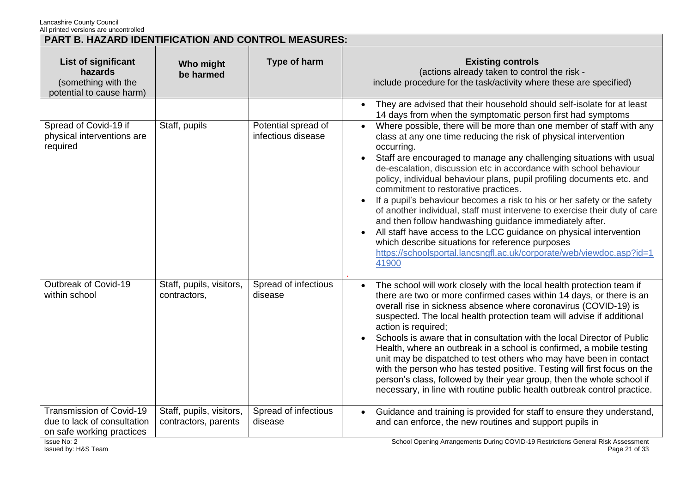| PART B. HAZARD IDENTIFICATION AND CONTROL MEASURES:                                  |                                                  |                                           |                                                                                                                                                                                                                                                                                                                                                                                                                                                                                                                                                                                                                                                                                                                                                                                                                                                                    |
|--------------------------------------------------------------------------------------|--------------------------------------------------|-------------------------------------------|--------------------------------------------------------------------------------------------------------------------------------------------------------------------------------------------------------------------------------------------------------------------------------------------------------------------------------------------------------------------------------------------------------------------------------------------------------------------------------------------------------------------------------------------------------------------------------------------------------------------------------------------------------------------------------------------------------------------------------------------------------------------------------------------------------------------------------------------------------------------|
| List of significant<br>hazards<br>(something with the<br>potential to cause harm)    | Who might<br>be harmed                           | Type of harm                              | <b>Existing controls</b><br>(actions already taken to control the risk -<br>include procedure for the task/activity where these are specified)                                                                                                                                                                                                                                                                                                                                                                                                                                                                                                                                                                                                                                                                                                                     |
|                                                                                      |                                                  |                                           | They are advised that their household should self-isolate for at least<br>$\bullet$<br>14 days from when the symptomatic person first had symptoms                                                                                                                                                                                                                                                                                                                                                                                                                                                                                                                                                                                                                                                                                                                 |
| Spread of Covid-19 if<br>physical interventions are<br>required                      | Staff, pupils                                    | Potential spread of<br>infectious disease | Where possible, there will be more than one member of staff with any<br>$\bullet$<br>class at any one time reducing the risk of physical intervention<br>occurring.<br>Staff are encouraged to manage any challenging situations with usual<br>de-escalation, discussion etc in accordance with school behaviour<br>policy, individual behaviour plans, pupil profiling documents etc. and<br>commitment to restorative practices.<br>If a pupil's behaviour becomes a risk to his or her safety or the safety<br>of another individual, staff must intervene to exercise their duty of care<br>and then follow handwashing guidance immediately after.<br>All staff have access to the LCC guidance on physical intervention<br>which describe situations for reference purposes<br>https://schoolsportal.lancsngfl.ac.uk/corporate/web/viewdoc.asp?id=1<br>41900 |
| Outbreak of Covid-19<br>within school                                                | Staff, pupils, visitors,<br>contractors,         | Spread of infectious<br>disease           | The school will work closely with the local health protection team if<br>$\bullet$<br>there are two or more confirmed cases within 14 days, or there is an<br>overall rise in sickness absence where coronavirus (COVID-19) is<br>suspected. The local health protection team will advise if additional<br>action is required;<br>Schools is aware that in consultation with the local Director of Public<br>Health, where an outbreak in a school is confirmed, a mobile testing<br>unit may be dispatched to test others who may have been in contact<br>with the person who has tested positive. Testing will first focus on the<br>person's class, followed by their year group, then the whole school if<br>necessary, in line with routine public health outbreak control practice.                                                                          |
| Transmission of Covid-19<br>due to lack of consultation<br>on safe working practices | Staff, pupils, visitors,<br>contractors, parents | Spread of infectious<br>disease           | Guidance and training is provided for staff to ensure they understand,<br>$\bullet$<br>and can enforce, the new routines and support pupils in<br>$\sim$ 0.0140 $\sim$ 0.15                                                                                                                                                                                                                                                                                                                                                                                                                                                                                                                                                                                                                                                                                        |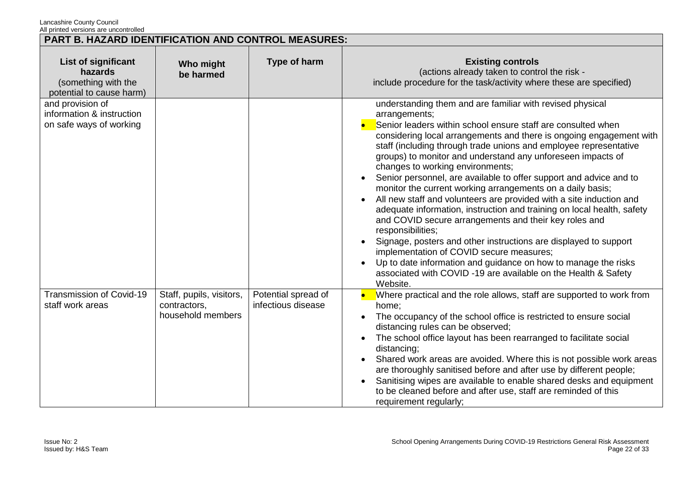| All printed versions are dricontrolled                                            | <b>PART B. HAZARD IDENTIFICATION AND CONTROL MEASURES:</b>    |                                           |                                                                                                                                                                                                                                                                                                                                                                                                                                                                                                                                                                                                                                                                                                                                                                                                                                                                                                                                                                                                                             |  |
|-----------------------------------------------------------------------------------|---------------------------------------------------------------|-------------------------------------------|-----------------------------------------------------------------------------------------------------------------------------------------------------------------------------------------------------------------------------------------------------------------------------------------------------------------------------------------------------------------------------------------------------------------------------------------------------------------------------------------------------------------------------------------------------------------------------------------------------------------------------------------------------------------------------------------------------------------------------------------------------------------------------------------------------------------------------------------------------------------------------------------------------------------------------------------------------------------------------------------------------------------------------|--|
| List of significant<br>hazards<br>(something with the<br>potential to cause harm) | Who might<br>be harmed                                        | Type of harm                              | <b>Existing controls</b><br>(actions already taken to control the risk -<br>include procedure for the task/activity where these are specified)                                                                                                                                                                                                                                                                                                                                                                                                                                                                                                                                                                                                                                                                                                                                                                                                                                                                              |  |
| and provision of<br>information & instruction<br>on safe ways of working          |                                                               |                                           | understanding them and are familiar with revised physical<br>arrangements;<br>Senior leaders within school ensure staff are consulted when<br>considering local arrangements and there is ongoing engagement with<br>staff (including through trade unions and employee representative<br>groups) to monitor and understand any unforeseen impacts of<br>changes to working environments;<br>Senior personnel, are available to offer support and advice and to<br>monitor the current working arrangements on a daily basis;<br>All new staff and volunteers are provided with a site induction and<br>adequate information, instruction and training on local health, safety<br>and COVID secure arrangements and their key roles and<br>responsibilities;<br>Signage, posters and other instructions are displayed to support<br>implementation of COVID secure measures;<br>Up to date information and guidance on how to manage the risks<br>associated with COVID-19 are available on the Health & Safety<br>Website. |  |
| Transmission of Covid-19<br>staff work areas                                      | Staff, pupils, visitors,<br>contractors,<br>household members | Potential spread of<br>infectious disease | Where practical and the role allows, staff are supported to work from<br>home;<br>The occupancy of the school office is restricted to ensure social<br>distancing rules can be observed;<br>The school office layout has been rearranged to facilitate social<br>distancing;<br>Shared work areas are avoided. Where this is not possible work areas<br>are thoroughly sanitised before and after use by different people;<br>Sanitising wipes are available to enable shared desks and equipment<br>to be cleaned before and after use, staff are reminded of this<br>requirement regularly;                                                                                                                                                                                                                                                                                                                                                                                                                               |  |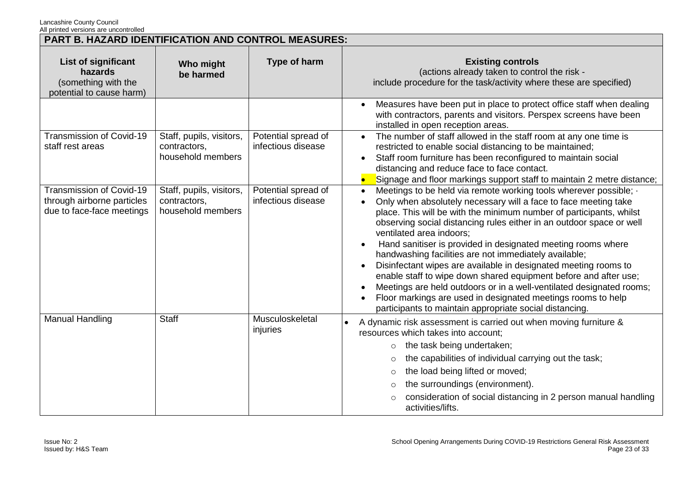Lancashire County Council

| All printed versions are uncontrolled<br><b>PART B. HAZARD IDENTIFICATION AND CONTROL MEASURES:</b> |                                                               |                                           |                                                                                                                                                                                                                                                                                                                                                                                                                                                                                                                                                                                                                                                                                                                                                                                                              |
|-----------------------------------------------------------------------------------------------------|---------------------------------------------------------------|-------------------------------------------|--------------------------------------------------------------------------------------------------------------------------------------------------------------------------------------------------------------------------------------------------------------------------------------------------------------------------------------------------------------------------------------------------------------------------------------------------------------------------------------------------------------------------------------------------------------------------------------------------------------------------------------------------------------------------------------------------------------------------------------------------------------------------------------------------------------|
| List of significant<br>hazards<br>(something with the<br>potential to cause harm)                   | Who might<br>be harmed                                        | Type of harm                              | <b>Existing controls</b><br>(actions already taken to control the risk -<br>include procedure for the task/activity where these are specified)                                                                                                                                                                                                                                                                                                                                                                                                                                                                                                                                                                                                                                                               |
|                                                                                                     |                                                               |                                           | Measures have been put in place to protect office staff when dealing<br>with contractors, parents and visitors. Perspex screens have been<br>installed in open reception areas.                                                                                                                                                                                                                                                                                                                                                                                                                                                                                                                                                                                                                              |
| Transmission of Covid-19<br>staff rest areas                                                        | Staff, pupils, visitors,<br>contractors,<br>household members | Potential spread of<br>infectious disease | The number of staff allowed in the staff room at any one time is<br>$\bullet$<br>restricted to enable social distancing to be maintained;<br>Staff room furniture has been reconfigured to maintain social<br>$\bullet$<br>distancing and reduce face to face contact.<br>Signage and floor markings support staff to maintain 2 metre distance;                                                                                                                                                                                                                                                                                                                                                                                                                                                             |
| Transmission of Covid-19<br>through airborne particles<br>due to face-face meetings                 | Staff, pupils, visitors,<br>contractors,<br>household members | Potential spread of<br>infectious disease | Meetings to be held via remote working tools wherever possible; ·<br>$\bullet$<br>Only when absolutely necessary will a face to face meeting take<br>place. This will be with the minimum number of participants, whilst<br>observing social distancing rules either in an outdoor space or well<br>ventilated area indoors;<br>Hand sanitiser is provided in designated meeting rooms where<br>handwashing facilities are not immediately available;<br>Disinfectant wipes are available in designated meeting rooms to<br>$\bullet$<br>enable staff to wipe down shared equipment before and after use;<br>Meetings are held outdoors or in a well-ventilated designated rooms;<br>Floor markings are used in designated meetings rooms to help<br>participants to maintain appropriate social distancing. |
| Manual Handling                                                                                     | <b>Staff</b>                                                  | Musculoskeletal<br>injuries               | A dynamic risk assessment is carried out when moving furniture &<br>resources which takes into account;<br>the task being undertaken;<br>$\circ$<br>the capabilities of individual carrying out the task;<br>$\circ$<br>the load being lifted or moved;<br>$\circ$<br>the surroundings (environment).<br>consideration of social distancing in 2 person manual handling<br>activities/lifts.                                                                                                                                                                                                                                                                                                                                                                                                                 |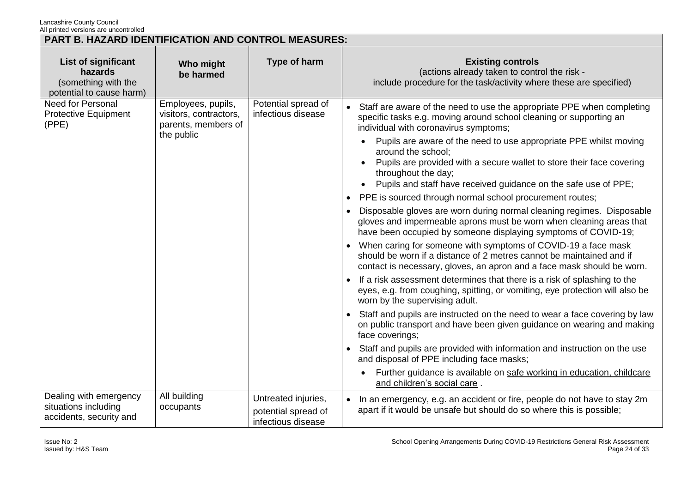| <b>PART B. HAZARD IDENTIFICATION AND CONTROL MEASURES:</b>                               |                                                                                   |                                                                  |                                                                                                                                                                                                                                                                                                                                                                                                                                                                                                                                                                                                                                                                                                                                                                                                                                                                                                                                                                                                                                                                                                                                                                                                                                                                                                                                                                                                                                                                                                                                                                 |
|------------------------------------------------------------------------------------------|-----------------------------------------------------------------------------------|------------------------------------------------------------------|-----------------------------------------------------------------------------------------------------------------------------------------------------------------------------------------------------------------------------------------------------------------------------------------------------------------------------------------------------------------------------------------------------------------------------------------------------------------------------------------------------------------------------------------------------------------------------------------------------------------------------------------------------------------------------------------------------------------------------------------------------------------------------------------------------------------------------------------------------------------------------------------------------------------------------------------------------------------------------------------------------------------------------------------------------------------------------------------------------------------------------------------------------------------------------------------------------------------------------------------------------------------------------------------------------------------------------------------------------------------------------------------------------------------------------------------------------------------------------------------------------------------------------------------------------------------|
| <b>List of significant</b><br>hazards<br>(something with the<br>potential to cause harm) | Who might<br>be harmed                                                            | Type of harm                                                     | <b>Existing controls</b><br>(actions already taken to control the risk -<br>include procedure for the task/activity where these are specified)                                                                                                                                                                                                                                                                                                                                                                                                                                                                                                                                                                                                                                                                                                                                                                                                                                                                                                                                                                                                                                                                                                                                                                                                                                                                                                                                                                                                                  |
| <b>Need for Personal</b><br><b>Protective Equipment</b><br>(PPE)                         | Employees, pupils,<br>visitors, contractors,<br>parents, members of<br>the public | Potential spread of<br>infectious disease                        | Staff are aware of the need to use the appropriate PPE when completing<br>specific tasks e.g. moving around school cleaning or supporting an<br>individual with coronavirus symptoms;<br>Pupils are aware of the need to use appropriate PPE whilst moving<br>around the school;<br>Pupils are provided with a secure wallet to store their face covering<br>throughout the day;<br>Pupils and staff have received guidance on the safe use of PPE;<br>PPE is sourced through normal school procurement routes;<br>Disposable gloves are worn during normal cleaning regimes. Disposable<br>gloves and impermeable aprons must be worn when cleaning areas that<br>have been occupied by someone displaying symptoms of COVID-19;<br>When caring for someone with symptoms of COVID-19 a face mask<br>should be worn if a distance of 2 metres cannot be maintained and if<br>contact is necessary, gloves, an apron and a face mask should be worn.<br>If a risk assessment determines that there is a risk of splashing to the<br>eyes, e.g. from coughing, spitting, or vomiting, eye protection will also be<br>worn by the supervising adult.<br>Staff and pupils are instructed on the need to wear a face covering by law<br>on public transport and have been given guidance on wearing and making<br>face coverings;<br>Staff and pupils are provided with information and instruction on the use<br>and disposal of PPE including face masks;<br>Further guidance is available on safe working in education, childcare<br>and children's social care. |
| Dealing with emergency<br>situations including<br>accidents, security and                | All building<br>occupants                                                         | Untreated injuries,<br>potential spread of<br>infectious disease | In an emergency, e.g. an accident or fire, people do not have to stay 2m<br>apart if it would be unsafe but should do so where this is possible;                                                                                                                                                                                                                                                                                                                                                                                                                                                                                                                                                                                                                                                                                                                                                                                                                                                                                                                                                                                                                                                                                                                                                                                                                                                                                                                                                                                                                |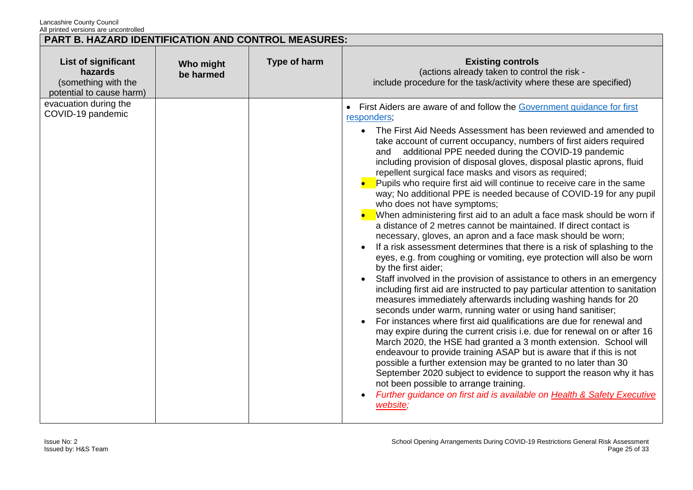| <b>PART B. HAZARD IDENTIFICATION AND CONTROL MEASURES:</b>                        |                        |              |                                                                                                                                                                                                                                                                                                                                                                                                                                                                                                                                                                                                                                                                                                                                                                                                                                                                                                                                                                                                                                                                                                                                                                                                                                                                                                                                                                                                                                                                                                                                                                                                                                                                                                                                                                                                                                                                                 |
|-----------------------------------------------------------------------------------|------------------------|--------------|---------------------------------------------------------------------------------------------------------------------------------------------------------------------------------------------------------------------------------------------------------------------------------------------------------------------------------------------------------------------------------------------------------------------------------------------------------------------------------------------------------------------------------------------------------------------------------------------------------------------------------------------------------------------------------------------------------------------------------------------------------------------------------------------------------------------------------------------------------------------------------------------------------------------------------------------------------------------------------------------------------------------------------------------------------------------------------------------------------------------------------------------------------------------------------------------------------------------------------------------------------------------------------------------------------------------------------------------------------------------------------------------------------------------------------------------------------------------------------------------------------------------------------------------------------------------------------------------------------------------------------------------------------------------------------------------------------------------------------------------------------------------------------------------------------------------------------------------------------------------------------|
| List of significant<br>hazards<br>(something with the<br>potential to cause harm) | Who might<br>be harmed | Type of harm | <b>Existing controls</b><br>(actions already taken to control the risk -<br>include procedure for the task/activity where these are specified)                                                                                                                                                                                                                                                                                                                                                                                                                                                                                                                                                                                                                                                                                                                                                                                                                                                                                                                                                                                                                                                                                                                                                                                                                                                                                                                                                                                                                                                                                                                                                                                                                                                                                                                                  |
| evacuation during the<br>COVID-19 pandemic                                        |                        |              | • First Aiders are aware of and follow the Government quidance for first<br>responders;<br>• The First Aid Needs Assessment has been reviewed and amended to<br>take account of current occupancy, numbers of first aiders required<br>and additional PPE needed during the COVID-19 pandemic<br>including provision of disposal gloves, disposal plastic aprons, fluid<br>repellent surgical face masks and visors as required;<br>Pupils who require first aid will continue to receive care in the same<br>way; No additional PPE is needed because of COVID-19 for any pupil<br>who does not have symptoms;<br>When administering first aid to an adult a face mask should be worn if<br>a distance of 2 metres cannot be maintained. If direct contact is<br>necessary, gloves, an apron and a face mask should be worn;<br>If a risk assessment determines that there is a risk of splashing to the<br>eyes, e.g. from coughing or vomiting, eye protection will also be worn<br>by the first aider;<br>Staff involved in the provision of assistance to others in an emergency<br>including first aid are instructed to pay particular attention to sanitation<br>measures immediately afterwards including washing hands for 20<br>seconds under warm, running water or using hand sanitiser;<br>For instances where first aid qualifications are due for renewal and<br>may expire during the current crisis i.e. due for renewal on or after 16<br>March 2020, the HSE had granted a 3 month extension. School will<br>endeavour to provide training ASAP but is aware that if this is not<br>possible a further extension may be granted to no later than 30<br>September 2020 subject to evidence to support the reason why it has<br>not been possible to arrange training.<br>Further guidance on first aid is available on Health & Safety Executive<br>website; |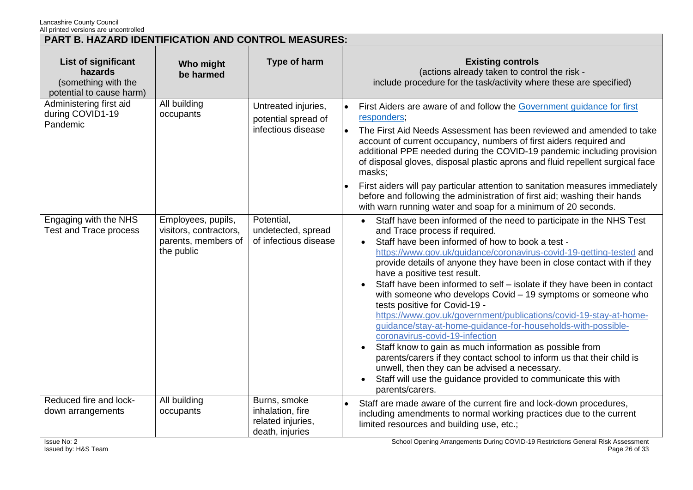| <b>PART B. HAZARD IDENTIFICATION AND CONTROL MEASURES:</b>                        |                                                                                   |                                                                          |                                                                                                                                                                                                                                                                                                                                                                                                                                                                                                                                                                                                                                                                                                                                                                                                                                                                                                                                                                                                                             |
|-----------------------------------------------------------------------------------|-----------------------------------------------------------------------------------|--------------------------------------------------------------------------|-----------------------------------------------------------------------------------------------------------------------------------------------------------------------------------------------------------------------------------------------------------------------------------------------------------------------------------------------------------------------------------------------------------------------------------------------------------------------------------------------------------------------------------------------------------------------------------------------------------------------------------------------------------------------------------------------------------------------------------------------------------------------------------------------------------------------------------------------------------------------------------------------------------------------------------------------------------------------------------------------------------------------------|
| List of significant<br>hazards<br>(something with the<br>potential to cause harm) | Who might<br>be harmed                                                            | Type of harm                                                             | <b>Existing controls</b><br>(actions already taken to control the risk -<br>include procedure for the task/activity where these are specified)                                                                                                                                                                                                                                                                                                                                                                                                                                                                                                                                                                                                                                                                                                                                                                                                                                                                              |
| Administering first aid<br>during COVID1-19<br>Pandemic                           | All building<br>occupants                                                         | Untreated injuries,<br>potential spread of<br>infectious disease         | First Aiders are aware of and follow the Government guidance for first<br>responders;<br>The First Aid Needs Assessment has been reviewed and amended to take<br>account of current occupancy, numbers of first aiders required and<br>additional PPE needed during the COVID-19 pandemic including provision<br>of disposal gloves, disposal plastic aprons and fluid repellent surgical face<br>masks;<br>First aiders will pay particular attention to sanitation measures immediately<br>before and following the administration of first aid; washing their hands<br>with warn running water and soap for a minimum of 20 seconds.                                                                                                                                                                                                                                                                                                                                                                                     |
| Engaging with the NHS<br>Test and Trace process                                   | Employees, pupils,<br>visitors, contractors,<br>parents, members of<br>the public | Potential,<br>undetected, spread<br>of infectious disease                | Staff have been informed of the need to participate in the NHS Test<br>$\bullet$<br>and Trace process if required.<br>Staff have been informed of how to book a test -<br>$\bullet$<br>https://www.gov.uk/guidance/coronavirus-covid-19-getting-tested and<br>provide details of anyone they have been in close contact with if they<br>have a positive test result.<br>Staff have been informed to self - isolate if they have been in contact<br>with someone who develops Covid - 19 symptoms or someone who<br>tests positive for Covid-19 -<br>https://www.gov.uk/government/publications/covid-19-stay-at-home-<br>guidance/stay-at-home-guidance-for-households-with-possible-<br>coronavirus-covid-19-infection<br>Staff know to gain as much information as possible from<br>$\bullet$<br>parents/carers if they contact school to inform us that their child is<br>unwell, then they can be advised a necessary.<br>Staff will use the guidance provided to communicate this with<br>$\bullet$<br>parents/carers. |
| Reduced fire and lock-<br>down arrangements                                       | All building<br>occupants                                                         | Burns, smoke<br>inhalation, fire<br>related injuries,<br>death, injuries | Staff are made aware of the current fire and lock-down procedures,<br>including amendments to normal working practices due to the current<br>limited resources and building use, etc.;                                                                                                                                                                                                                                                                                                                                                                                                                                                                                                                                                                                                                                                                                                                                                                                                                                      |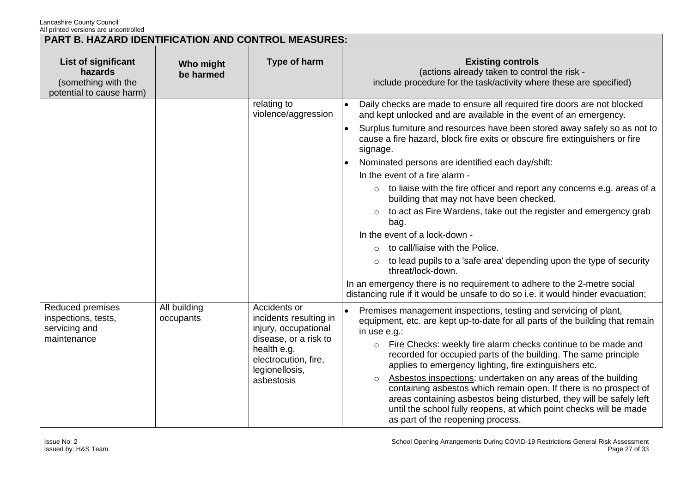| PART B. HAZARD IDENTIFICATION AND CONTROL MEASURES:                               |                           |                                                                                                                                                                |                                                                                                                                                                                                                                                                                                                                                                                                                                                                                                                                                                                                                                                                                                                                                                                                                                                                                                                                                                     |
|-----------------------------------------------------------------------------------|---------------------------|----------------------------------------------------------------------------------------------------------------------------------------------------------------|---------------------------------------------------------------------------------------------------------------------------------------------------------------------------------------------------------------------------------------------------------------------------------------------------------------------------------------------------------------------------------------------------------------------------------------------------------------------------------------------------------------------------------------------------------------------------------------------------------------------------------------------------------------------------------------------------------------------------------------------------------------------------------------------------------------------------------------------------------------------------------------------------------------------------------------------------------------------|
| List of significant<br>hazards<br>(something with the<br>potential to cause harm) | Who might<br>be harmed    | Type of harm                                                                                                                                                   | <b>Existing controls</b><br>(actions already taken to control the risk -<br>include procedure for the task/activity where these are specified)                                                                                                                                                                                                                                                                                                                                                                                                                                                                                                                                                                                                                                                                                                                                                                                                                      |
|                                                                                   |                           | relating to<br>violence/aggression                                                                                                                             | Daily checks are made to ensure all required fire doors are not blocked<br>and kept unlocked and are available in the event of an emergency.<br>Surplus furniture and resources have been stored away safely so as not to<br>$\bullet$<br>cause a fire hazard, block fire exits or obscure fire extinguishers or fire<br>signage.<br>Nominated persons are identified each day/shift:<br>In the event of a fire alarm -<br>to liaise with the fire officer and report any concerns e.g. areas of a<br>$\circ$<br>building that may not have been checked.<br>to act as Fire Wardens, take out the register and emergency grab<br>bag.<br>In the event of a lock-down -<br>to call/liaise with the Police.<br>to lead pupils to a 'safe area' depending upon the type of security<br>threat/lock-down.<br>In an emergency there is no requirement to adhere to the 2-metre social<br>distancing rule if it would be unsafe to do so i.e. it would hinder evacuation; |
| Reduced premises<br>inspections, tests,<br>servicing and<br>maintenance           | All building<br>occupants | Accidents or<br>incidents resulting in<br>injury, occupational<br>disease, or a risk to<br>health e.g.<br>electrocution, fire,<br>legionellosis,<br>asbestosis | Premises management inspections, testing and servicing of plant,<br>equipment, etc. are kept up-to-date for all parts of the building that remain<br>in use e.g.:<br>Fire Checks: weekly fire alarm checks continue to be made and<br>$\circ$<br>recorded for occupied parts of the building. The same principle<br>applies to emergency lighting, fire extinguishers etc.<br>Asbestos inspections: undertaken on any areas of the building<br>$\circ$<br>containing asbestos which remain open. If there is no prospect of<br>areas containing asbestos being disturbed, they will be safely left<br>until the school fully reopens, at which point checks will be made<br>as part of the reopening process.                                                                                                                                                                                                                                                       |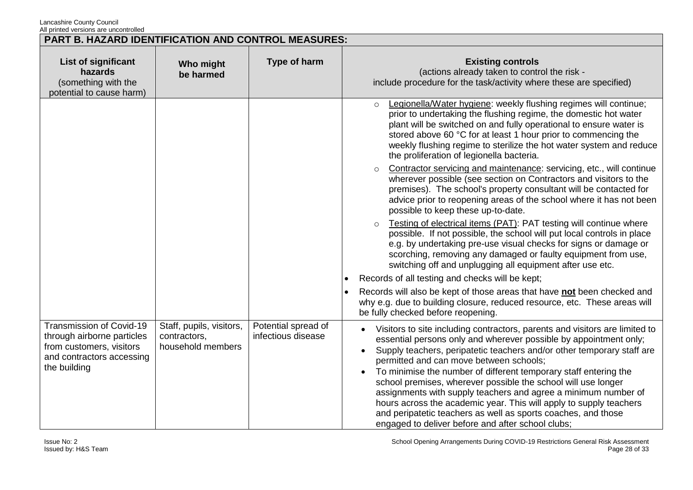| PART B. HAZARD IDENTIFICATION AND CONTROL MEASURES:                                                                             |                                                               |                                           |                                                                                                                                                                                                                                                                                                                                                                                                                                                                                                                                                                                                                                                                          |
|---------------------------------------------------------------------------------------------------------------------------------|---------------------------------------------------------------|-------------------------------------------|--------------------------------------------------------------------------------------------------------------------------------------------------------------------------------------------------------------------------------------------------------------------------------------------------------------------------------------------------------------------------------------------------------------------------------------------------------------------------------------------------------------------------------------------------------------------------------------------------------------------------------------------------------------------------|
| List of significant<br>hazards<br>(something with the<br>potential to cause harm)                                               | Who might<br>be harmed                                        | Type of harm                              | <b>Existing controls</b><br>(actions already taken to control the risk -<br>include procedure for the task/activity where these are specified)                                                                                                                                                                                                                                                                                                                                                                                                                                                                                                                           |
|                                                                                                                                 |                                                               |                                           | Legionella/Water hygiene: weekly flushing regimes will continue;<br>$\circ$<br>prior to undertaking the flushing regime, the domestic hot water<br>plant will be switched on and fully operational to ensure water is<br>stored above 60 °C for at least 1 hour prior to commencing the<br>weekly flushing regime to sterilize the hot water system and reduce<br>the proliferation of legionella bacteria.                                                                                                                                                                                                                                                              |
|                                                                                                                                 |                                                               |                                           | Contractor servicing and maintenance: servicing, etc., will continue<br>$\circ$<br>wherever possible (see section on Contractors and visitors to the<br>premises). The school's property consultant will be contacted for<br>advice prior to reopening areas of the school where it has not been<br>possible to keep these up-to-date.                                                                                                                                                                                                                                                                                                                                   |
|                                                                                                                                 |                                                               |                                           | Testing of electrical items (PAT): PAT testing will continue where<br>$\Omega$<br>possible. If not possible, the school will put local controls in place<br>e.g. by undertaking pre-use visual checks for signs or damage or<br>scorching, removing any damaged or faulty equipment from use,<br>switching off and unplugging all equipment after use etc.                                                                                                                                                                                                                                                                                                               |
|                                                                                                                                 |                                                               |                                           | Records of all testing and checks will be kept;                                                                                                                                                                                                                                                                                                                                                                                                                                                                                                                                                                                                                          |
|                                                                                                                                 |                                                               |                                           | Records will also be kept of those areas that have not been checked and<br>why e.g. due to building closure, reduced resource, etc. These areas will<br>be fully checked before reopening.                                                                                                                                                                                                                                                                                                                                                                                                                                                                               |
| Transmission of Covid-19<br>through airborne particles<br>from customers, visitors<br>and contractors accessing<br>the building | Staff, pupils, visitors,<br>contractors,<br>household members | Potential spread of<br>infectious disease | Visitors to site including contractors, parents and visitors are limited to<br>essential persons only and wherever possible by appointment only;<br>Supply teachers, peripatetic teachers and/or other temporary staff are<br>permitted and can move between schools;<br>To minimise the number of different temporary staff entering the<br>school premises, wherever possible the school will use longer<br>assignments with supply teachers and agree a minimum number of<br>hours across the academic year. This will apply to supply teachers<br>and peripatetic teachers as well as sports coaches, and those<br>engaged to deliver before and after school clubs; |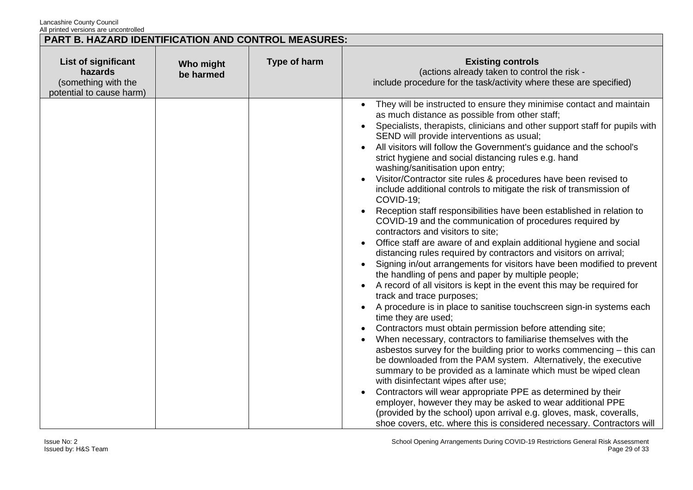| <b>PART B. HAZARD IDENTIFICATION AND CONTROL MEASURES:</b>                        |                        |              |                                                                                                                                                                                                                                                                                                                                                                                                                                                                                                                                                                                                                                                                                                                                                                                                                                                                                                                                                                                                                                                                                                                                                                                                                                                                                                                                                                                                                                                                                                                                                                                                                                                                                                                                                                                                                                                                                                                                      |
|-----------------------------------------------------------------------------------|------------------------|--------------|--------------------------------------------------------------------------------------------------------------------------------------------------------------------------------------------------------------------------------------------------------------------------------------------------------------------------------------------------------------------------------------------------------------------------------------------------------------------------------------------------------------------------------------------------------------------------------------------------------------------------------------------------------------------------------------------------------------------------------------------------------------------------------------------------------------------------------------------------------------------------------------------------------------------------------------------------------------------------------------------------------------------------------------------------------------------------------------------------------------------------------------------------------------------------------------------------------------------------------------------------------------------------------------------------------------------------------------------------------------------------------------------------------------------------------------------------------------------------------------------------------------------------------------------------------------------------------------------------------------------------------------------------------------------------------------------------------------------------------------------------------------------------------------------------------------------------------------------------------------------------------------------------------------------------------------|
| List of significant<br>hazards<br>(something with the<br>potential to cause harm) | Who might<br>be harmed | Type of harm | <b>Existing controls</b><br>(actions already taken to control the risk -<br>include procedure for the task/activity where these are specified)                                                                                                                                                                                                                                                                                                                                                                                                                                                                                                                                                                                                                                                                                                                                                                                                                                                                                                                                                                                                                                                                                                                                                                                                                                                                                                                                                                                                                                                                                                                                                                                                                                                                                                                                                                                       |
|                                                                                   |                        |              | They will be instructed to ensure they minimise contact and maintain<br>$\bullet$<br>as much distance as possible from other staff;<br>Specialists, therapists, clinicians and other support staff for pupils with<br>SEND will provide interventions as usual;<br>All visitors will follow the Government's guidance and the school's<br>strict hygiene and social distancing rules e.g. hand<br>washing/sanitisation upon entry;<br>Visitor/Contractor site rules & procedures have been revised to<br>include additional controls to mitigate the risk of transmission of<br>COVID-19;<br>Reception staff responsibilities have been established in relation to<br>COVID-19 and the communication of procedures required by<br>contractors and visitors to site;<br>Office staff are aware of and explain additional hygiene and social<br>distancing rules required by contractors and visitors on arrival;<br>Signing in/out arrangements for visitors have been modified to prevent<br>the handling of pens and paper by multiple people;<br>A record of all visitors is kept in the event this may be required for<br>track and trace purposes;<br>A procedure is in place to sanitise touchscreen sign-in systems each<br>time they are used;<br>Contractors must obtain permission before attending site;<br>$\bullet$<br>When necessary, contractors to familiarise themselves with the<br>asbestos survey for the building prior to works commencing – this can<br>be downloaded from the PAM system. Alternatively, the executive<br>summary to be provided as a laminate which must be wiped clean<br>with disinfectant wipes after use;<br>Contractors will wear appropriate PPE as determined by their<br>employer, however they may be asked to wear additional PPE<br>(provided by the school) upon arrival e.g. gloves, mask, coveralls,<br>shoe covers, etc. where this is considered necessary. Contractors will |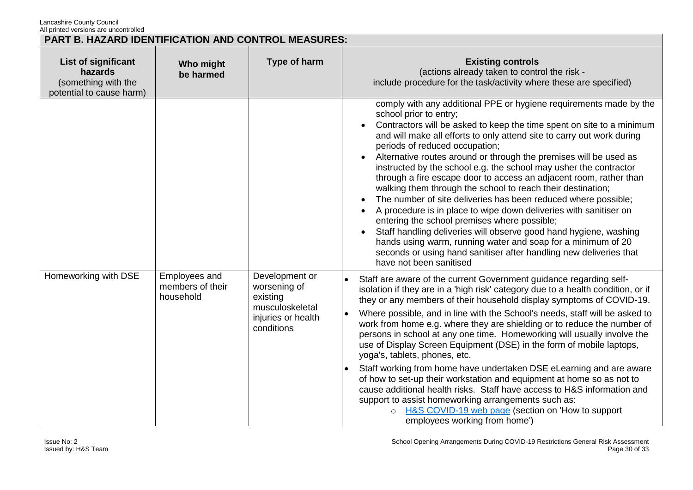| PART B. HAZARD IDENTIFICATION AND CONTROL MEASURES:                                      |                                                |                                                                                                   |                                                                                                                                                                                                                                                                                                                                                                                                                                                                                                                                                                                                                                                                                                                                                                                                                                                                                                                                                                                               |
|------------------------------------------------------------------------------------------|------------------------------------------------|---------------------------------------------------------------------------------------------------|-----------------------------------------------------------------------------------------------------------------------------------------------------------------------------------------------------------------------------------------------------------------------------------------------------------------------------------------------------------------------------------------------------------------------------------------------------------------------------------------------------------------------------------------------------------------------------------------------------------------------------------------------------------------------------------------------------------------------------------------------------------------------------------------------------------------------------------------------------------------------------------------------------------------------------------------------------------------------------------------------|
| <b>List of significant</b><br>hazards<br>(something with the<br>potential to cause harm) | Who might<br>be harmed                         | Type of harm                                                                                      | <b>Existing controls</b><br>(actions already taken to control the risk -<br>include procedure for the task/activity where these are specified)                                                                                                                                                                                                                                                                                                                                                                                                                                                                                                                                                                                                                                                                                                                                                                                                                                                |
|                                                                                          |                                                |                                                                                                   | comply with any additional PPE or hygiene requirements made by the<br>school prior to entry;<br>Contractors will be asked to keep the time spent on site to a minimum<br>and will make all efforts to only attend site to carry out work during<br>periods of reduced occupation;<br>Alternative routes around or through the premises will be used as<br>instructed by the school e.g. the school may usher the contractor<br>through a fire escape door to access an adjacent room, rather than<br>walking them through the school to reach their destination;<br>The number of site deliveries has been reduced where possible;<br>A procedure is in place to wipe down deliveries with sanitiser on<br>entering the school premises where possible;<br>Staff handling deliveries will observe good hand hygiene, washing<br>hands using warm, running water and soap for a minimum of 20<br>seconds or using hand sanitiser after handling new deliveries that<br>have not been sanitised |
| Homeworking with DSE                                                                     | Employees and<br>members of their<br>household | Development or<br>worsening of<br>existing<br>musculoskeletal<br>injuries or health<br>conditions | Staff are aware of the current Government guidance regarding self-<br>isolation if they are in a 'high risk' category due to a health condition, or if<br>they or any members of their household display symptoms of COVID-19.<br>Where possible, and in line with the School's needs, staff will be asked to<br>work from home e.g. where they are shielding or to reduce the number of<br>persons in school at any one time. Homeworking will usually involve the<br>use of Display Screen Equipment (DSE) in the form of mobile laptops,<br>yoga's, tablets, phones, etc.<br>Staff working from home have undertaken DSE eLearning and are aware<br>of how to set-up their workstation and equipment at home so as not to<br>cause additional health risks. Staff have access to H&S information and<br>support to assist homeworking arrangements such as:<br><b>H&amp;S COVID-19 web page (section on 'How to support</b><br>employees working from home')                               |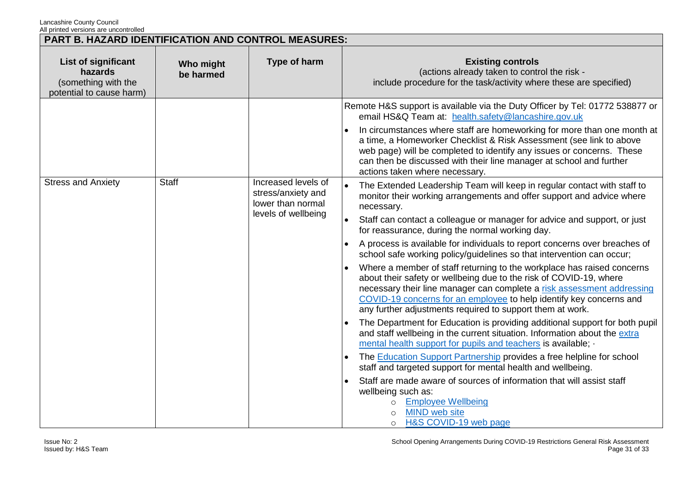| PART B. HAZARD IDENTIFICATION AND CONTROL MEASURES:                                      |                        |                                                                                       |                                                                                                                                                                                                                                                                                                                                                                                                                                                                                                                                                                                                                                                                                                                                                                                                                                                                                                                                                                                                                                                                                                                                                                                                                                                                                                                                                                                        |
|------------------------------------------------------------------------------------------|------------------------|---------------------------------------------------------------------------------------|----------------------------------------------------------------------------------------------------------------------------------------------------------------------------------------------------------------------------------------------------------------------------------------------------------------------------------------------------------------------------------------------------------------------------------------------------------------------------------------------------------------------------------------------------------------------------------------------------------------------------------------------------------------------------------------------------------------------------------------------------------------------------------------------------------------------------------------------------------------------------------------------------------------------------------------------------------------------------------------------------------------------------------------------------------------------------------------------------------------------------------------------------------------------------------------------------------------------------------------------------------------------------------------------------------------------------------------------------------------------------------------|
| <b>List of significant</b><br>hazards<br>(something with the<br>potential to cause harm) | Who might<br>be harmed | Type of harm                                                                          | <b>Existing controls</b><br>(actions already taken to control the risk -<br>include procedure for the task/activity where these are specified)                                                                                                                                                                                                                                                                                                                                                                                                                                                                                                                                                                                                                                                                                                                                                                                                                                                                                                                                                                                                                                                                                                                                                                                                                                         |
|                                                                                          |                        |                                                                                       | Remote H&S support is available via the Duty Officer by Tel: 01772 538877 or<br>email HS&Q Team at: health.safety@lancashire.gov.uk<br>In circumstances where staff are homeworking for more than one month at<br>a time, a Homeworker Checklist & Risk Assessment (see link to above<br>web page) will be completed to identify any issues or concerns. These<br>can then be discussed with their line manager at school and further<br>actions taken where necessary.                                                                                                                                                                                                                                                                                                                                                                                                                                                                                                                                                                                                                                                                                                                                                                                                                                                                                                                |
| <b>Stress and Anxiety</b>                                                                | <b>Staff</b>           | Increased levels of<br>stress/anxiety and<br>lower than normal<br>levels of wellbeing | The Extended Leadership Team will keep in regular contact with staff to<br>monitor their working arrangements and offer support and advice where<br>necessary.<br>Staff can contact a colleague or manager for advice and support, or just<br>for reassurance, during the normal working day.<br>A process is available for individuals to report concerns over breaches of<br>school safe working policy/guidelines so that intervention can occur;<br>Where a member of staff returning to the workplace has raised concerns<br>about their safety or wellbeing due to the risk of COVID-19, where<br>necessary their line manager can complete a risk assessment addressing<br>COVID-19 concerns for an employee to help identify key concerns and<br>any further adjustments required to support them at work.<br>The Department for Education is providing additional support for both pupil<br>and staff wellbeing in the current situation. Information about the extra<br>mental health support for pupils and teachers is available; -<br>The <b>Education Support Partnership</b> provides a free helpline for school<br>staff and targeted support for mental health and wellbeing.<br>Staff are made aware of sources of information that will assist staff<br>wellbeing such as:<br><b>Employee Wellbeing</b><br><b>MIND</b> web site<br>H&S COVID-19 web page<br>$\circ$ |